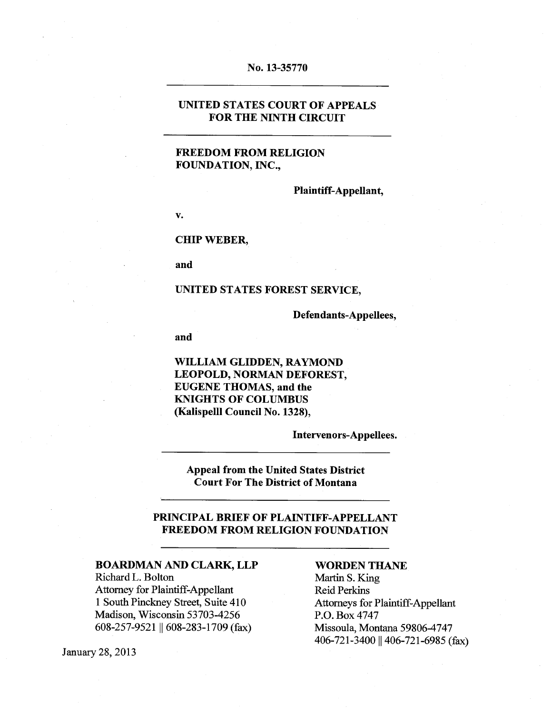#### No. 13-35770

#### UNITED STATES COURT OF APPEALS FOR THE NINTH CIRCUIT

#### FREEDOM FROM RELIGION FOUNDATION, INC.,

Plaintiff-Appellant,

V.

#### CHIP WEBER,

and

#### UNITED STATES FOREST SERVICE,

Defendants-Appellees,

and

WILLIAM GLIDDEN, RAYMOND LEOPOLD, NORMAN DEFOREST, EUGENE THOMAS, and the KNIGHTS OF COLUMBUS (Kalispeill Council No. 1328),

Intervenors-Appeilees.

Appeal from the United States District Court For The District of Montana

#### PRiNCIPAL BRIEF OF PLAINTIFF-APPELLANT FREEDOM FROM RELIGION FOUNDATION

#### BOARDMAN AND CLARK, LLP WORDEN THANE

Richard L. Bolton Martin S. King Attorney for Plaintiff-Appellant<br>
1 South Pinckney Street, Suite 410 Attorneys for Madison, Wisconsin 53703-4256 P.O. Box 4747 608-257-9521 608-283-1709 (fax) Missoula, Montana 59806-4747

Attorneys for Plaintiff-Appellant 406-721-3400 || 406-721-6985 (fax)

January28, 2013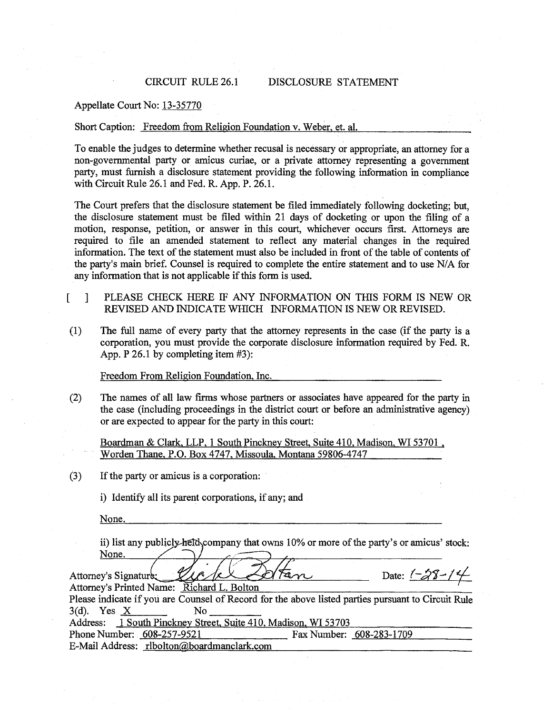#### CIRCUIT RULE 26.1 DISCLOSURE STATEMENT

#### Appellate Court No: 13-35770

#### Short Caption: Freedom from Religion Foundation v. Weber, et. al.

To enable the judges to determine whether recusal is necessary or appropriate, an attorney for a non-governmental party or amicus curiae, or a private attorney representing a government party, must furnish a disclosure statement providing the following information in compliance with Circuit Rule 26.1 and Fed. R. App. P. 26.1.

The Court prefers that the disclosure statement be filed immediately following docketing; but, the disclosure statement must be filed within 21 days of docketing or upon the filing of a motion, response, petition, or answer in this court, whichever occurs first. Attorneys are required to file an amended statement to reflect any material changes in the required information. The text of the statement must also be included in front of the table of contents of the party's main brief. Counsel is required to complete the entire statement and to use N/A for any information that is not applicable if this form is used.

- [ j PLEASE CHECK HERE IF ANY INFORMATION ON THIS FORM IS NEW OR REVISED AND INDICATE WHICH INFORMATION IS NEW OR REVISED.
- (1) The full name of every party that the attorney represents in the case (if the party is a corporation, you must provide the corporate disclosure information required by Fed. R. App. P 26.1 by completing item #3):

Freedom From Religion Foundation, Inc.

(2) The names of all law firms whose partners or associates have appeared for the party in the case (including proceedings in the district court or before an administrative agency) or are expected to appear for the party in this court:

Boardman & Clark, LLP, <sup>1</sup> South Pinckney Street, Suite 410, Madison, WI 53701, Worden Thane, P.O. Box 4747, Missoula, Montana 59806-4747

 $(3)$  If the party or amicus is a corporation:

i) Identify all its parent corporations, if any; and

None.

ii) list any publicly helds company that owns  $10\%$  or more of the party's or amicus' stock: None.

Attorney's Signature 200 /cl Atan Attorney's Printed Name: Richard L. Bolton Please indicate if yoti are Counsel of Record for the above listed parties pursuant to Circuit Rule  $3(d)$ . Yes  $X$  No Address: 1 South Pinckney Street, Suite 410, Madison, WI 53703 Phone Number: 608-257-9521 Fax Number: 608-283-1709 E-Mail Address: rlbolton@boardmanclark.com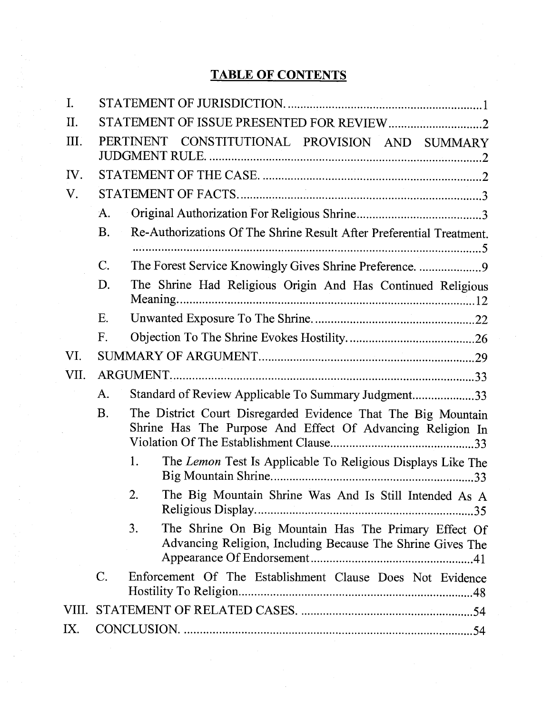# TABLE OF CONTENTS

| $\mathbf{I}$ . |                |                                                                                                                             |
|----------------|----------------|-----------------------------------------------------------------------------------------------------------------------------|
| II.            |                |                                                                                                                             |
| Ш.             |                | PERTINENT CONSTITUTIONAL PROVISION AND SUMMARY                                                                              |
| IV.            |                |                                                                                                                             |
| V.             |                |                                                                                                                             |
|                | A.             |                                                                                                                             |
|                | <b>B.</b>      | Re-Authorizations Of The Shrine Result After Preferential Treatment.                                                        |
|                | C.             | The Forest Service Knowingly Gives Shrine Preference. 9                                                                     |
|                | D.             | The Shrine Had Religious Origin And Has Continued Religious                                                                 |
|                | Ε.             |                                                                                                                             |
|                | F.             |                                                                                                                             |
| VI.            |                |                                                                                                                             |
| VII.           |                |                                                                                                                             |
|                | A.             | Standard of Review Applicable To Summary Judgment33                                                                         |
|                | <b>B.</b>      | The District Court Disregarded Evidence That The Big Mountain<br>Shrine Has The Purpose And Effect Of Advancing Religion In |
|                |                | 1.<br>The Lemon Test Is Applicable To Religious Displays Like The<br>.33                                                    |
|                |                | 2.<br>The Big Mountain Shrine Was And Is Still Intended As A                                                                |
|                |                | The Shrine On Big Mountain Has The Primary Effect Of<br>3.<br>Advancing Religion, Including Because The Shrine Gives The    |
|                | $\mathbf{C}$ . | Enforcement Of The Establishment Clause Does Not Evidence                                                                   |
| VIII.          |                |                                                                                                                             |
| IX.            |                |                                                                                                                             |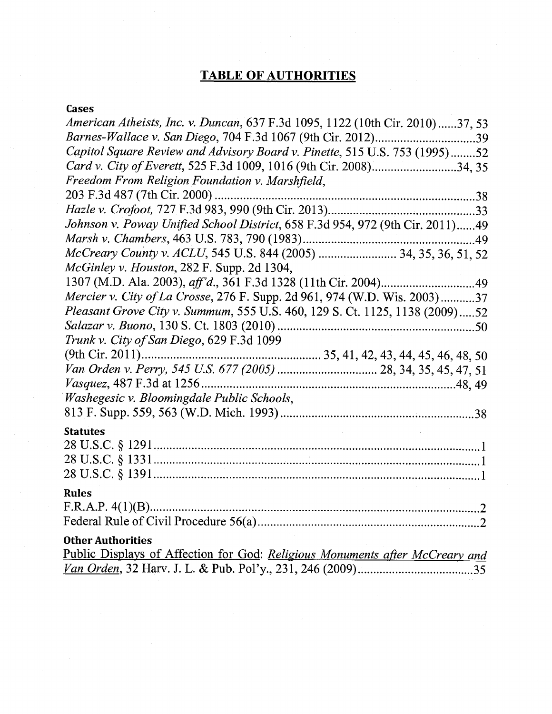# TABLE OF AUTHORITIES

# Cases

| <i>American Atheists, Inc. v. Duncan,</i> 637 F.3d 1095, 1122 (10th Cir. 2010)37, 53                     |
|----------------------------------------------------------------------------------------------------------|
| Barnes-Wallace v. San Diego, 704 F.3d 1067 (9th Cir. 2012)39                                             |
| Capitol Square Review and Advisory Board v. Pinette, 515 U.S. 753 (1995)52                               |
| Card v. City of Everett, 525 F.3d 1009, 1016 (9th Cir. 2008)34, 35                                       |
| Freedom From Religion Foundation v. Marshfield,                                                          |
|                                                                                                          |
|                                                                                                          |
| Johnson v. Poway Unified School District, 658 F.3d 954, 972 (9th Cir. 2011)49                            |
|                                                                                                          |
| McCreary County v. ACLU, 545 U.S. 844 (2005)  34, 35, 36, 51, 52                                         |
| McGinley v. Houston, 282 F. Supp. 2d 1304,                                                               |
|                                                                                                          |
| Mercier v. City of La Crosse, 276 F. Supp. 2d 961, 974 (W.D. Wis. 2003)37                                |
| Pleasant Grove City v. Summum, 555 U.S. 460, 129 S. Ct. 1125, 1138 (2009)52                              |
|                                                                                                          |
| Trunk v. City of San Diego, 629 F.3d 1099                                                                |
|                                                                                                          |
|                                                                                                          |
|                                                                                                          |
| Washegesic v. Bloomingdale Public Schools,                                                               |
|                                                                                                          |
| <b>Statutes</b>                                                                                          |
|                                                                                                          |
|                                                                                                          |
|                                                                                                          |
| <b>Rules</b>                                                                                             |
|                                                                                                          |
|                                                                                                          |
|                                                                                                          |
| <b>Other Authorities</b><br>Public Displays of Affection for God: Religious Monuments after McCreary and |
|                                                                                                          |
|                                                                                                          |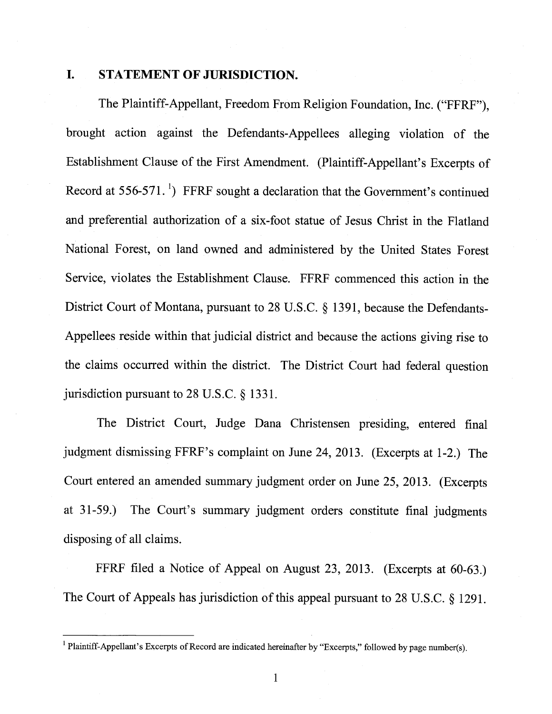# I. STATEMENT OF JURISDICTION.

The Plaintiff-Appellant, Freedom From Religion Foundation, Inc. ("FFRF"), brought action against the Defendants-Appellees alleging violation of the Establishment Clause of the First Amendment. (Plaintiff-Appellant's Excerpts of Record at  $556-571$ .<sup>1</sup>) FFRF sought a declaration that the Government's continued and preferential authorization of a six-foot statue of Jesus Christ in the Flatland National Forest, on land owned and administered by the United States Forest Service, violates the Establishment Clause. FFRF commenced this action in the District Court of Montana, pursuant to 28 U.S.C. § 1391, because the Defendants Appellees reside within that judicial district and because the actions giving rise to the claims occurred within the district. The District Court had federal question jurisdiction pursuant to 28 U.S.C. § 1331.

The District Court, Judge Dana Christensen presiding, entered final judgment dismissing FFRF's complaint on June 24, 2013. (Excerpts at 1-2.) The Court entered an amended summary judgment order on June 25, 2013. (Excerpts at 31-59.) The Court's summary judgment orders constitute final judgments disposing of all claims.

FFRF filed a Notice of Appeal on August 23, 2013. (Excerpts at 60-63.) The Court of Appeals has jurisdiction of this appeal pursuant to <sup>28</sup> U.S.C. § 1291.

<sup>&</sup>lt;sup>1</sup> Plaintiff-Appellant's Excerpts of Record are indicated hereinafter by "Excerpts," followed by page number(s).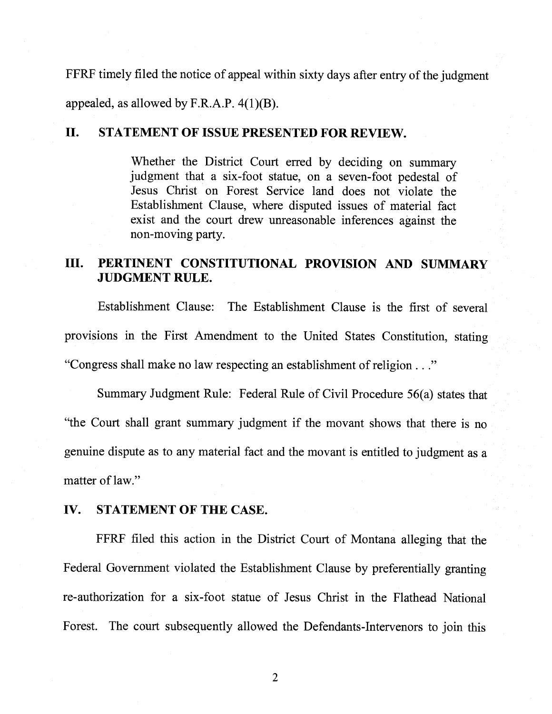FFRF timely filed the notice of appeal within sixty days after entry of the judgment appealed, as allowed by F.R.A.P.  $4(1)(B)$ .

### II. STATEMENT OF ISSUE PRESENTED FOR REVIEW.

Whether the District Court erred by deciding on summary judgment that a six-foot statue, on a seven-foot pedestal of Jesus Christ on Forest Service land does not violate the Establishment Clause, where disputed issues of material fact exist and the court drew unreasonable inferences against the non-moving party.

# III. PERTINENT CONSTITUTIONAL PROVISION AND SUMMARY JUDGMENT RULE.

Establishment Clause: The Establishment Clause is the first of several provisions in the First Amendment to the United States Constitution, stating "Congress shall make no law respecting an establishment of religion . . ."

Summary Judgment Rule: Federal Rule of Civil Procedure 56(a) states that "the Court shall grant summary judgment if the movant shows that there is no genuine dispute as to any material fact and the movant is entitled to judgment as a matter of law."

### IV. STATEMENT OF THE CASE.

FFRF filed this action in the District Court of Montana alleging that the Federal Government violated the Establishment Clause by preferentially granting re-authorization for a six-foot statue of Jesus Christ in the Flathead National Forest. The court subsequently allowed the Defendants-Intervenors to join this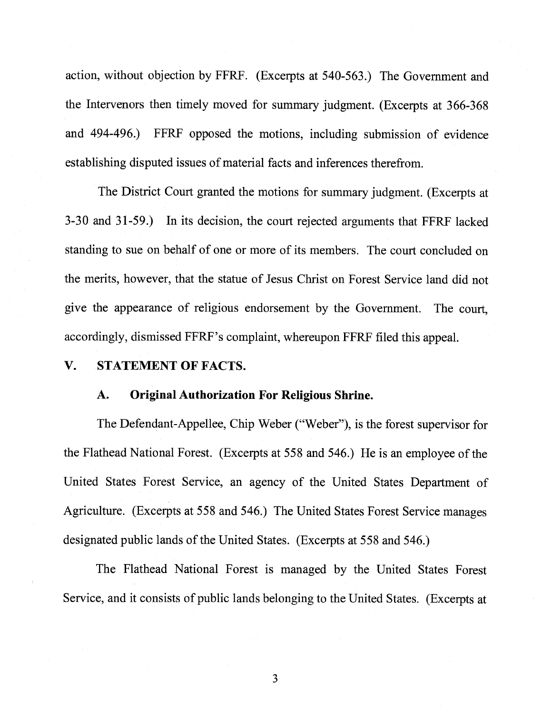action, without objection by FFRF. (Excerpts at 540-563.) The Government and the Intervenors then timely moved for summary judgment. (Excerpts at <sup>3</sup> 66-368 and 494-496.) FFRF opposed the motions, including submission of evidence establishing disputed issues of material facts and inferences therefrom.

The District Court granted the motions for summary judgment. (Excerpts at 3-30 and 31-59.) In its decision, the court rejected arguments that FFRF lacked standing to sue on behalf of one or more of its members. The court concluded on the merits, however, that the statue of Jesus Christ on Forest Service land did not give the appearance of religious endorsement by the Government. The court, accordingly, dismissed FFRF's complaint, whereupon FFRF filed this appeal.

#### V. STATEMENT OF FACTS.

#### A. Original Authorization For Religious Shrine.

The Defendant-Appellee, Chip Weber ("Weber"), is the forest supervisor for the Flathead National Forest. (Excerpts at 558 and 546.) He is an employee of the United States Forest Service, an agency of the United States Department of Agriculture. (Excerpts at 558 and 546.) The United States Forest Service manages designated public lands of the United States. (Excerpts at 558 and 546.)

The Flathead National Forest is managed by the United States Forest Service, and it consists of public lands belonging to the United States. (Excerpts at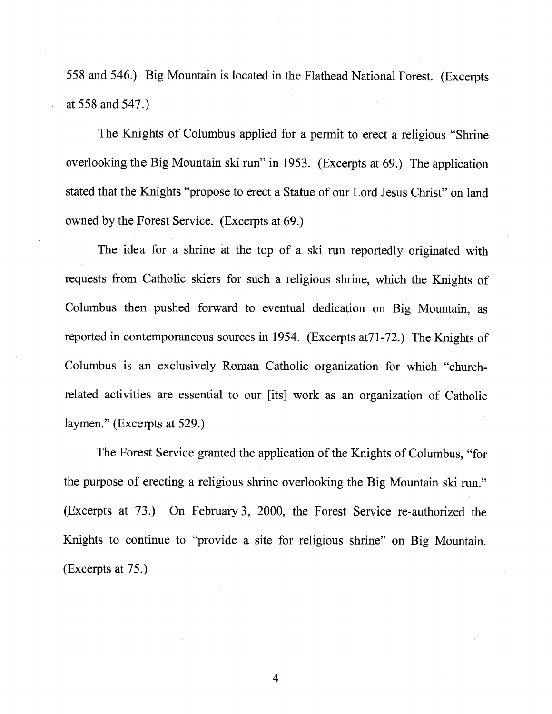558 and 546.) Big Mountain is located in the Flathead National Forest. (Excerpts at 558 and 547.)

The Knights of Columbus applied for a permit to erect a religious "Shrine overlooking the Big Mountain ski run" in 1953. (Excerpts at 69.) The application stated that the Knights "propose to erect a Statue of our Lord Jesus Christ" on land owned by the Forest Service. (Excerpts at 69.)

The idea for a shrine at the top of a ski run reportedly originated with requests from Catholic skiers for such a religious shrine, which the Knights of Columbus then pushed forward to eventual dedication on Big Mountain, as reported in contemporaneous sources in 1954. (Excerpts at 71-72.) The Knights of Columbus is an exclusively Roman Catholic organization for which "churchrelated activities are essential to our [its] work as an organization of Catholic laymen." (Excerpts at 529.)

The Forest Service granted the application of the Knights of Columbus, "for the purpose of erecting a religious shrine overlooking the Big Mountain ski run." (Excerpts at 73.) On February 3, 2000, the Forest Service re-authorized the Knights to continue to "provide a site for religious shrine" on Big Mountain. (Excerpts at 75.)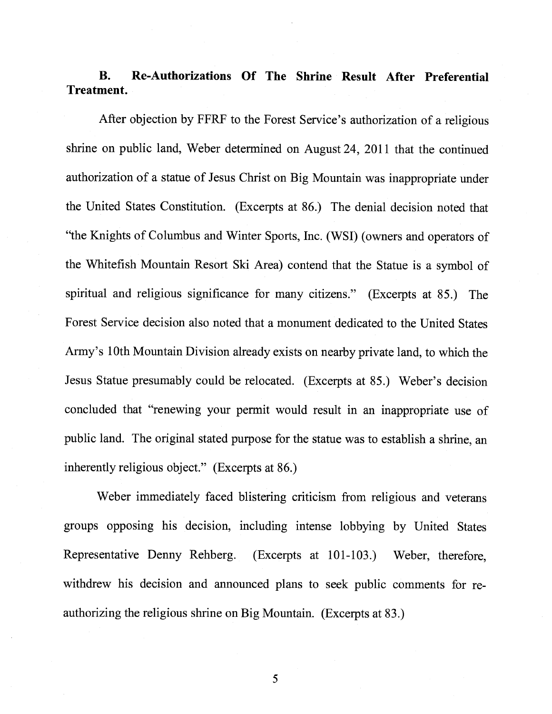B. Re-Authorizations Of The Shrine Result After Preferential Treatment.

After objection by FFRF to the Forest Service's authorization of a religious shrine on public land, Weber determined on August 24, 2011 that the continued authorization of a statue of Jesus Christ on Big Mountain was inappropriate under the United States Constitution. (Excerpts at 86.) The denial decision noted that "the Knights of Columbus and Winter Sports, Inc. (WSI) (owners and operators of the Whitefish Mountain Resort Ski Area) contend that the Statue is a symbol of spiritual and religious significance for many citizens." (Excerpts at 85.) The Forest Service decision also noted that a monument dedicated to the United States Army's 10th Mountain Division already exists on nearby private land, to which the Jesus Statue presumably could be relocated. (Excerpts at 85.) Weber's decision concluded that "renewing your permit would result in an inappropriate use of public land. The original stated purpose for the statue was to establish a shrine, an inherently religious object." (Excerpts at 86.)

Weber immediately faced blistering criticism from religious and veterans groups opposing his decision, including intense lobbying by United States Representative Denny Rehberg. (Excerpts at 101-103.) Weber, therefore, withdrew his decision and announced plans to seek public comments for re authorizing the religious shrine on Big Mountain. (Excerpts at 83.)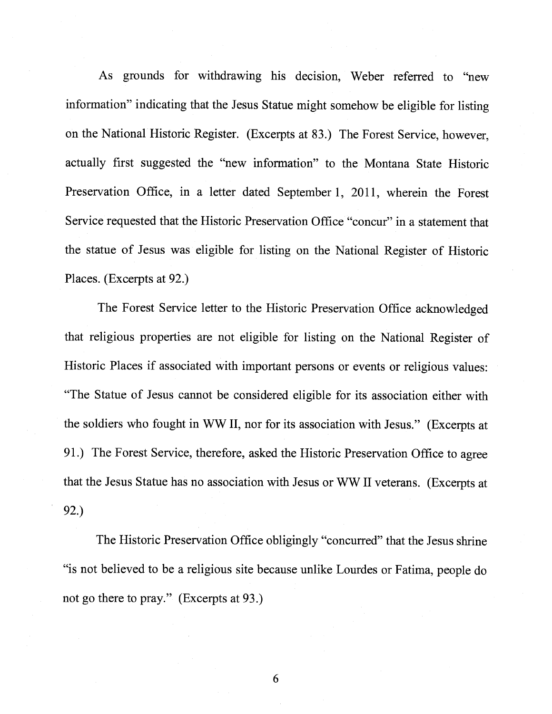As grounds for withdrawing his decision, Weber referred to "new information" indicating that the Jesus Statue might somehow be eligible for listing on the National Historic Register. (Excerpts at 83.) The Forest Service, however, actually first suggested the "new information" to the Montana State Historic Preservation Office, in a letter dated September 1, 2011, wherein the Forest Service requested that the Historic Preservation Office "concur" in a statement that the statue of Jesus was eligible for listing on the National Register of Historic Places. (Excerpts at 92.)

The Forest Service letter to the Historic Preservation Office acknowledged that religious properties are not eligible for listing on the National Register of Historic Places if associated with important persons or events or religious values: "The Statue of Jesus cannot be considered eligible for its association either with the soldiers who fought in WW II, nor for its association with Jesus." (Excerpts at 91.) The Forest Service, therefore, asked the Historic Preservation Office to agree that the Jesus Statue has no association with Jesus or WW II veterans. (Excerpts at 92.)

The Historic Preservation Office obligingly "concurred" that the Jesus shrine "is not believed to be a religious site because unlike Lourdes or Fatima, people do not go there to pray." (Excerpts at 93.)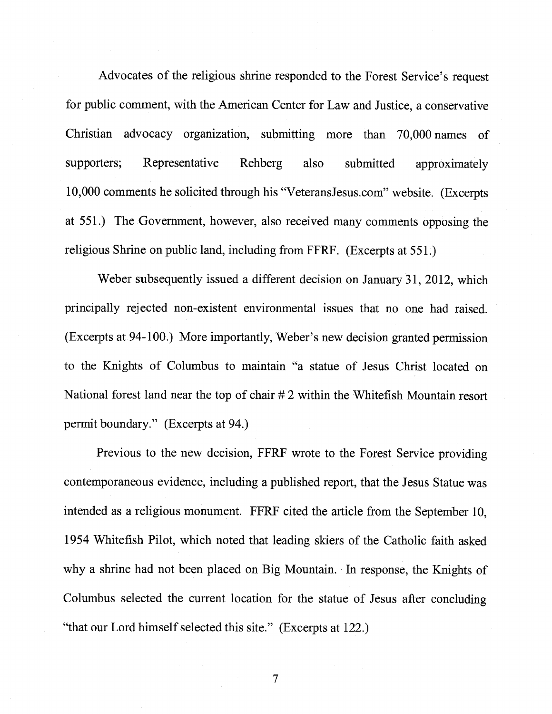Advocates of the religious shrine responded to the Forest Service's request for public comment, with the American Center for Law and Justice, a conservative Christian advocacy organization, submitting more than 70,000 names of supporters; Representative Rehberg also submitted approximately 10,000 comments he solicited through his "VeteransJesus.com" website. (Excerpts at 551.) The Government, however, also received many comments opposing the religious Shrine on public land, including from FFRF. (Excerpts at 551.)

Weber subsequently issued a different decision on January 31, 2012, which principally rejected non-existent environmental issues that no one had raised. (Excerpts at 94-100.) More importantly, Weber's new decision granted permission to the Knights of Columbus to maintain "a statue of Jesus Christ located on National forest land near the top of chair # 2 within the Whitefish Mountain resort permit boundary." (Excerpts at 94.)

Previous to the new decision, FFRF wrote to the Forest Service providing contemporaneous evidence, including a published report, that the Jesus Statue was intended as a religious monument. FFRF cited the article from the September 10, 1954 Whitefish Pilot, which noted that leading skiers of the Catholic faith asked why a shrine had not been placed on Big Mountain. In response, the Knights of Columbus selected the current location for the statue of Jesus after concluding "that our Lord himself selected this site." (Excerpts at 122.)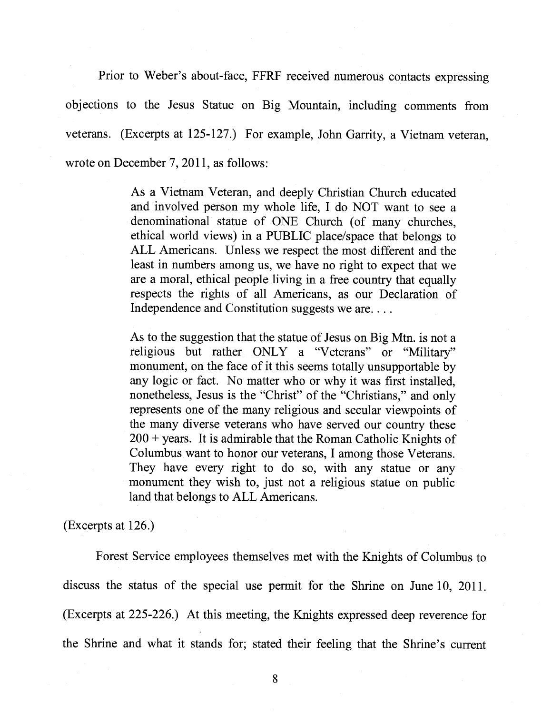Prior to Weber's about-face, FFRF received numerous contacts expressing objections to the Jesus Statue on Big Mountain, including comments from veterans. (Excerpts at 125-127.) For example, John Garrity, a Vietnam veteran, wrote on December 7, 2011, as follows:

> As a Vietnam Veteran, and deeply Christian Church educated and involved person my whole life, I do NOT want to see a denominational statue of ONE Church (of many churches, ethical world views) in a PUBLIC place/space that belongs to ALL Americans. Unless we respect the most different and the least in numbers among us, we have no right to expect that we are a moral, ethical people living in a free country that equally respects the rights of all Americans, as our Declaration of Independence and Constitution suggests we are....

> As to the suggestion that the statue of Jesus on Big Mtn. is not a religious but rather ONLY a "Veterans" or "Military" monument, on the face of it this seems totally unsupportable by any logic or fact. No matter who or why it was first installed, nonetheless, Jesus is the "Christ" of the "Christians," and only represents one of the many religious and secular viewpoints of the many diverse veterans who have served our country these  $200 + \text{years}$ . It is admirable that the Roman Catholic Knights of Columbus want to honor our veterans, I among those Veterans. They have every right to do so, with any statue or any monument they wish to, just not a religious statue on public land that belongs to ALL Americans.

(Excerpts at 126.)

Forest Service employees themselves met with the Knights of Columbus to discuss the status of the special use permit for the Shrine on June 10, 2011. (Excerpts at 225-226.) At this meeting, the Knights expressed deep reverence for the Shrine and what it stands for; stated their feeling that the Shrine's current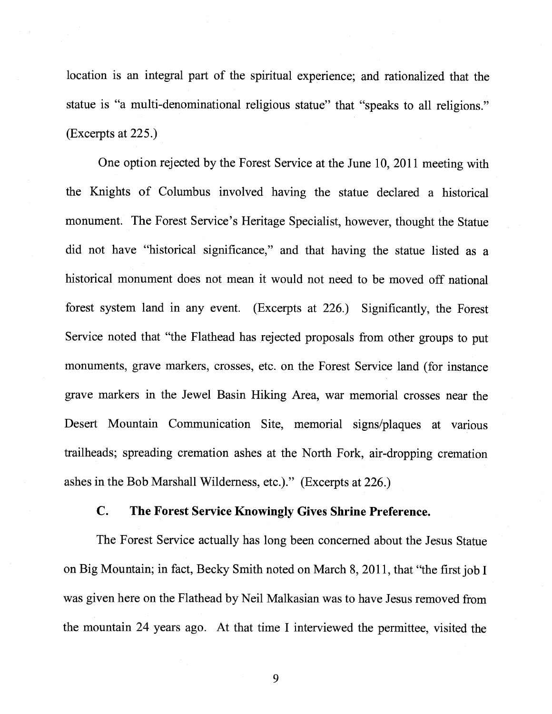location is an integral part of the spiritual experience; and rationalized that the statue is "a multi-denominational religious statue" that "speaks to all religions." (Excerpts at 225.)

One option rejected by the Forest Service at the June 10, 2011 meeting with the Knights of Columbus involved having the statue declared a historical monument. The Forest Service's Heritage Specialist, however, thought the Statue did not have "historical significance," and that having the statue listed as a historical monument does not mean it would not need to be moved off national forest system land in any event. (Excerpts at 226.) Significantly, the Forest Service noted that "the Flathead has rejected proposals from other groups to put monuments, grave markers, crosses, etc. on the Forest Service land (for instance grave markers in the Jewel Basin Hiking Area, war memorial crosses near the Desert Mountain Communication Site, memorial signs/plaques at various trailheads; spreading cremation ashes at the North Fork, air-dropping cremation ashes in the Bob Marshall Wilderness, etc.)." (Excerpts at 226.)

### C. The Forest Service Knowingly Gives Shrine Preference.

The Forest Service actually has long been concerned about the Jesus Statue on Big Mountain; in fact, Becky Smith noted on March 8, 2011, that "the first job I was given here on the Flathead by Neil Malkasian was to have Jesus removed from the mountain 24 years ago. At that time I interviewed the permittee, visited the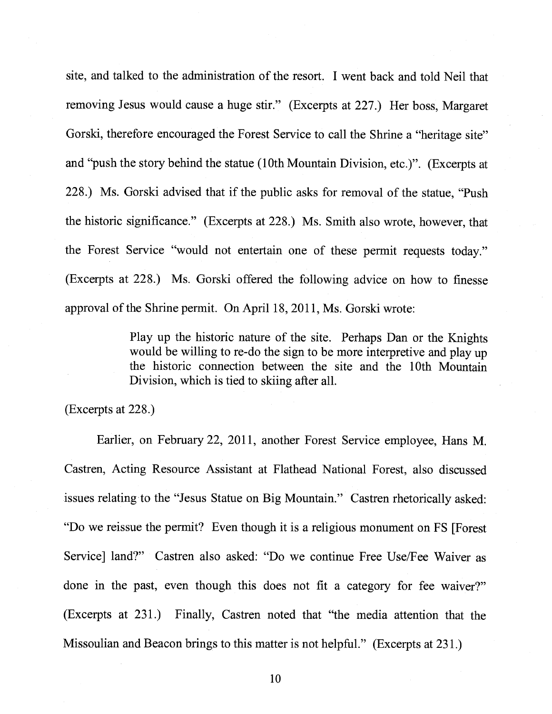site, and talked to the administration of the resort. I went back and told Neil that removing Jesus would cause a huge stir." (Excerpts at 227.) Her boss, Margaret Gorski, therefore encouraged the Forest Service to call the Shrine a "heritage site" and "push the story behind the statue (10th Mountain Division, etc.)". (Excerpts at 228.) Ms. Gorski advised that if the public asks for removal of the statue, "Push the historic significance." (Excerpts at 228.) Ms. Smith also wrote, however, that the Forest Service "would not entertain one of these permit requests today." (Excerpts at 228.) Ms. Gorski offered the following advice on how to finesse approval of the Shrine permit. On April 18, 2011, Ms. Gorski wrote:

> Play up the historic nature of the site. Perhaps Dan or the Knights would be willing to re-do the sign to be more interpretive and play up the historic connection between the site and the 10th Mountain Division, which is tied to skiing after all.

(Excerpts at 228.)

Earlier, on February 22, 2011, another Forest Service employee, Hans M. Castren, Acting Resource Assistant at Flathead National Forest, also discussed issues relating to the "Jesus Statue on Big Mountain." Castren rhetorically asked: "Do we reissue the permit? Even though it is a religious monument on FS [Forest Service] land?" Castren also asked: "Do we continue Free Use/Fee Waiver as done in the past, even though this does not fit a category for fee waiver?" (Excerpts at 231.) Finally, Castren noted that "the media attention that the Missoulian and Beacon brings to this matter is not helpful." (Excerpts at 231.)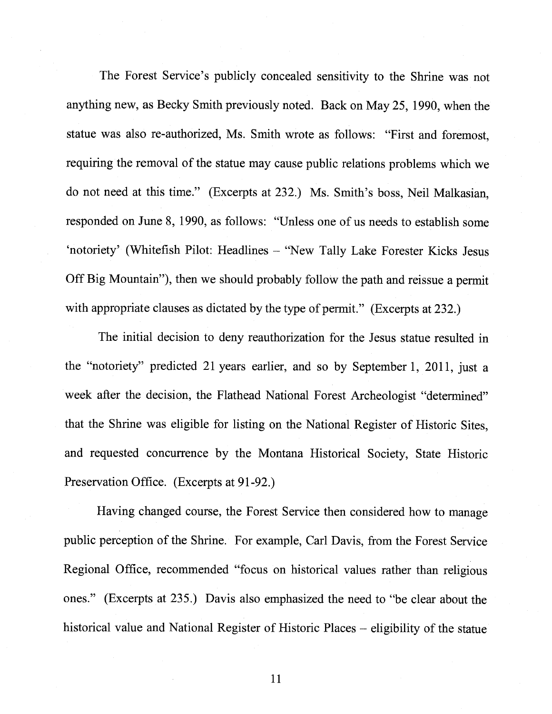The Forest Service's publicly concealed sensitivity to the Shrine was not anything new, as Becky Smith previously noted. Back on May 25, 1990, when the statue was also re-authorized, Ms. Smith wrote as follows: "First and foremost, requiring the removal of the statue may cause public relations problems which we do not need at this time." (Excerpts at 232.) Ms. Smith's boss, Neil Malkasian, responded on June 8, 1990, as follows: "Unless one of us needs to establish some 'notoriety' (Whitefish Pilot: Headlines — "New Tally Lake Forester Kicks Jesus Off Big Mountain"), then we should probably follow the path and reissue a permit with appropriate clauses as dictated by the type of permit." (Excerpts at 232.)

The initial decision to deny reauthorization for the Jesus statue resulted in the "notoriety" predicted 21 years earlier, and so by September 1, 2011, just a week after the decision, the Flathead National Forest Archeologist "determined" that the Shrine was eligible for listing on the National Register of Historic Sites, and requested concurrence by the Montana Historical Society, State Historic Preservation Office. (Excerpts at 91-92.)

Having changed course, the Forest Service then considered how to manage public perception of the Shrine. For example, Carl Davis, from the Forest Service Regional Office, recommended "focus on historical values rather than religious ones." (Excerpts at 235.) Davis also emphasized the need to "be clear about the historical value and National Register of Historic Places — eligibility of the statue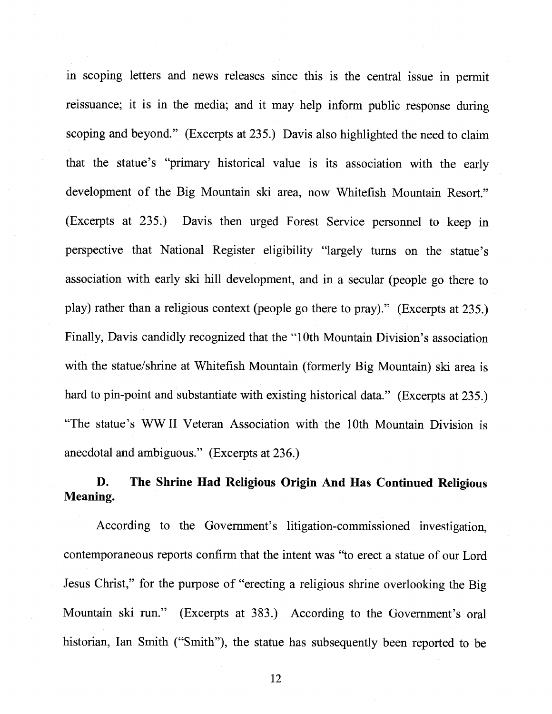in scoping letters and news releases since this is the central issue in permit reissuance; it is in the media; and it may help inform public response during scoping and beyond." (Excerpts at 235.) Davis also highlighted the need to claim that the statue's "primary historical value is its association with the early development of the Big Mountain ski area, now Whitefish Mountain Resort." (Excerpts at 235.) Davis then urged Forest Service personnel to keep in perspective that National Register eligibility "largely turns on the statue's association with early ski hill development, and in <sup>a</sup> secular (people go there to play) rather than a religious context (people go there to pray)." (Excerpts at 235.) Finally, Davis candidly recognized that the "10th Mountain Division's association with the statue/shrine at Whitefish Mountain (formerly Big Mountain) ski area is hard to pin-point and substantiate with existing historical data." (Excerpts at 235.) "The statue's WW II Veteran Association with the 10th Mountain Division is anecdotal and ambiguous." (Excerpts at 236.)

# B. The Shrine Had Religious Origin And Has Continued Religious Meaning.

According to the Government's litigation-commissioned investigation, contemporaneous reports confirm that the intent was "to erect <sup>a</sup> statue of our Lord Jesus Christ," for the purpose of "erecting <sup>a</sup> religious shrine overlooking the Big Mountain ski run." (Excerpts at 383.) According to the Government's oral historian, Ian Smith ("Smith"), the statue has subsequently been reported to be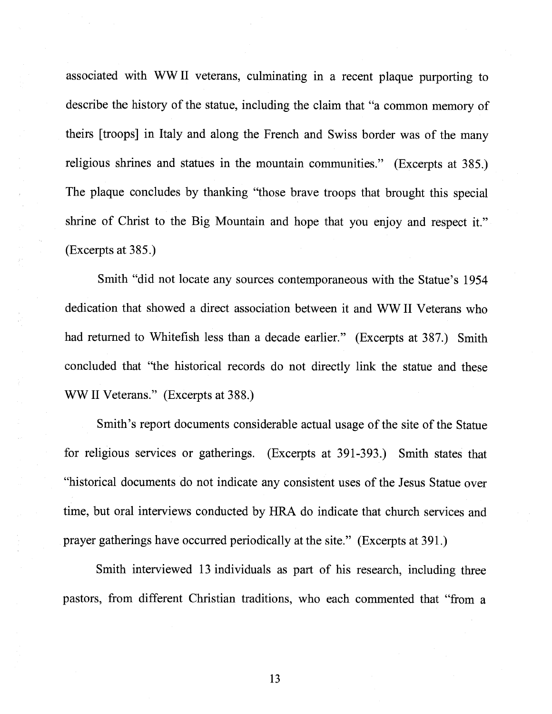associated with WW II veterans, culminating in a recent plaque purporting to describe the history of the statue, including the claim that "a common memory of theirs [troops] in Italy and along the French and Swiss border was of the many religious shrines and statues in the mountain communities." (Excerpts at 385.) The plaque concludes by thanking "those brave troops that brought this special shrine of Christ to the Big Mountain and hope that you enjoy and respect it." (Excerpts at 385.)

Smith "did not locate any sources contemporaneous with the Statue's 1954 dedication that showed a direct association between it and WW II Veterans who had returned to Whitefish less than a decade earlier." (Excerpts at 387.) Smith concluded that "the historical records do not directly link the statue and these WW II Veterans." (Excerpts at 388.)

Smith's report documents considerable actual usage of the site of the Statue for religious services or gatherings. (Excerpts at 391-393.) Smith states that "historical documents do not indicate any consistent uses of the Jesus Statue over time, but oral interviews conducted by HRA do indicate that church services and prayer gatherings have occurred periodically at the site." (Excerpts at 391.)

Smith interviewed 13 individuals as part of his research, including three pastors, from different Christian traditions, who each commented that "from a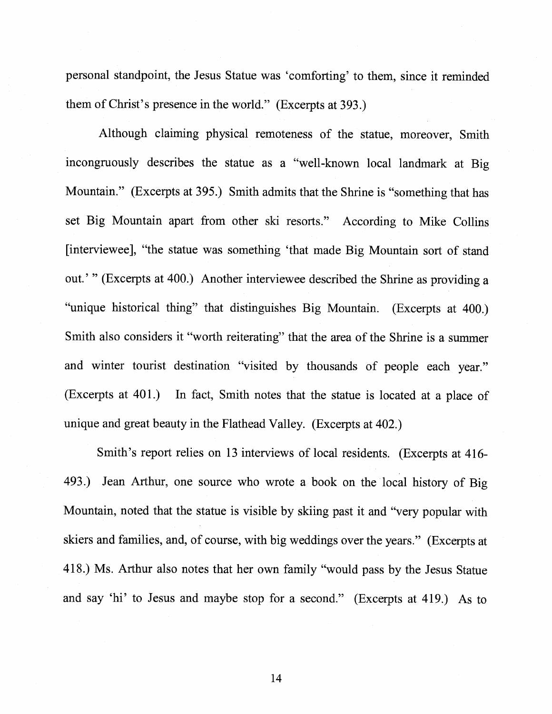personal standpoint, the Jesus Statue was 'comforting' to them, since it reminded them of Christ's presence in the world." (Excerpts at 393.)

Although claiming physical remoteness of the statue, moreover, Smith incongruously describes the statue as <sup>a</sup> "well-known local landmark at Big Mountain." (Excerpts at 395.) Smith admits that the Shrine is "something that has set Big Mountain apart from other ski resorts." According to Mike Collins [interviewee], "the statue was something 'that made Big Mountain sort of stand out.'" (Excerpts at 400.) Another interviewee described the Shrine as providing <sup>a</sup> "unique historical thing" that distinguishes Big Mountain. (Excerpts at 400.) Smith also considers it "worth reiterating" that the area of the Shrine is <sup>a</sup> summer and winter tourist destination "visited by thousands of people each year." (Excerpts at 401.) In fact, Smith notes that the statue is located at <sup>a</sup> <sup>p</sup>lace of unique and great beauty in the Flathead Valley. (Excerpts at 402.)

Smith's report relies on <sup>13</sup> interviews of local residents. (Excerpts at 416- 493.) Jean Arthur, one source who wrote <sup>a</sup> book on the local history of Big Mountain, noted that the statue is visible by skiing past it and "very popular with skiers and families, and, of course, with big weddings over the years." (Excerpts at 418.) Ms. Arthur also notes that her own family "would pass by the Jesus Statue and say 'hi' to Jesus and maybe stop for <sup>a</sup> second." (Excerpts at 419.) As to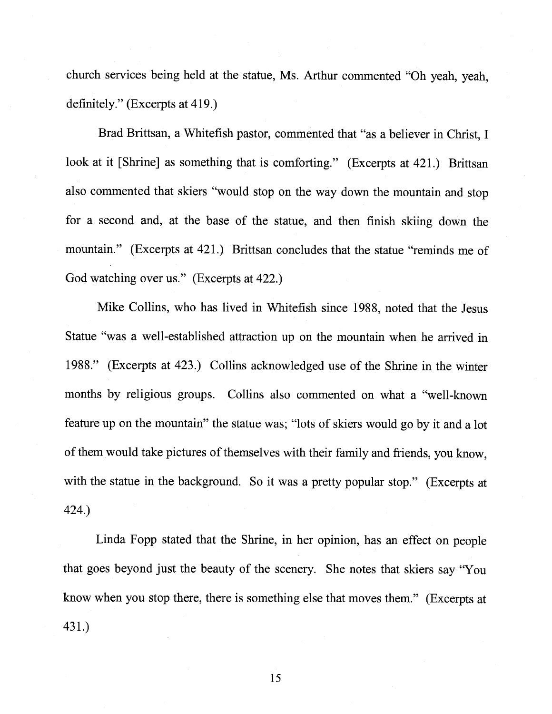church services being held at the statue, Ms. Arthur commented "Oh yeah, yeah, definitely." (Excerpts at 419.)

Brad Brittsan, a Whitefish pastor, commented that "as a believer in Christ, I look at it [Shrine] as something that is comforting." (Excerpts at 421.) Brittsan also commented that skiers "would stop on the way down the mountain and stop for a second and, at the base of the statue, and then finish skiing down the mountain." (Excerpts at 421.) Brittsan concludes that the statue "reminds me of God watching over us." (Excerpts at 422.)

Mike Collins, who has lived in Whitefish since 1988, noted that the Jesus Statue "was a well-established attraction up on the mountain when he arrived in 1988." (Excerpts at 423.) Collins acknowledged use of the Shrine in the winter months by religious groups. Collins also commented on what a "well-known feature up on the mountain" the statue was; "lots of skiers would go by it and a lot of them would take pictures of themselves with their family and friends, you know, with the statue in the background. So it was a pretty popular stop." (Excerpts at 424.)

Linda Fopp stated that the Shrine, in her opinion, has an effect on people that goes beyond just the beauty of the scenery. She notes that skiers say "You know when you stop there, there is something else that moves them." (Excerpts at 431.)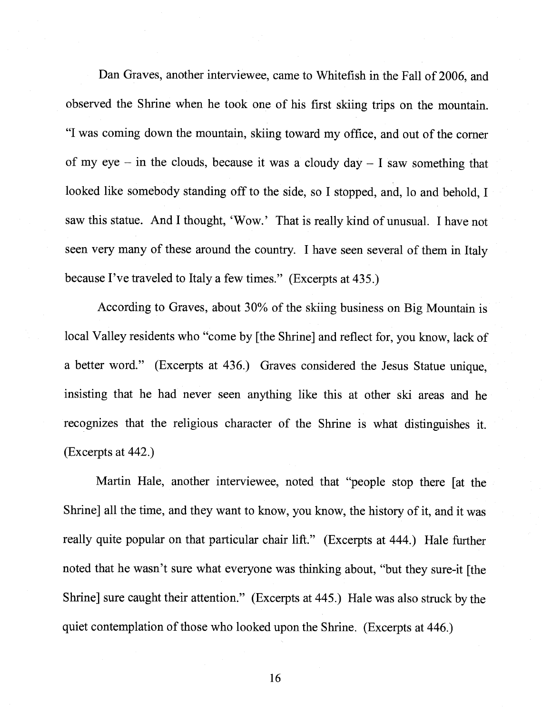Dan Graves, another interviewee, came to Whitefish in the Fall of 2006, and observed the Shrine when he took one of his first skiing trips on the mountain. "I was coming down the mountain, skiing toward my office, and out of the corner of my eye – in the clouds, because it was a cloudy  $day - I$  saw something that looked like somebody standing off to the side, so <sup>I</sup> stopped, and, lo and behold, <sup>I</sup> saw this statue. And <sup>I</sup> thought, 'Wow.' That is really kind of unusual. <sup>I</sup> have not seen very many of these around the country. <sup>I</sup> have seen several of them in Italy because I've traveled to Italy <sup>a</sup> few times." (Excerpts at 435.)

According to Graves, about 30% of the skiing business on Big Mountain is local Valley residents who "come by [the Shrine] and reflect for, you know, lack of <sup>a</sup> better word." (Excerpts at 436.) Graves considered the Jesus Statue unique, insisting that he had never seen anything like this at other ski areas and he recognizes that the religious character of the Shrine is what distinguishes it. (Excerpts at 442.)

Martin Hale, another interviewee, noted that "people stop there [at the Shrine] all the time, and they want to know, you know, the history of it, and it was really quite popular on that particular chair lift." (Excerpts at 444.) Hale further noted that he wasn't sure what everyone was thinking about, "but they sure-it [the Shrine] sure caught their attention." (Excerpts at 445.) Hale was also struck by the quiet contemplation of those who looked upon the Shrine. (Excerpts at 446.)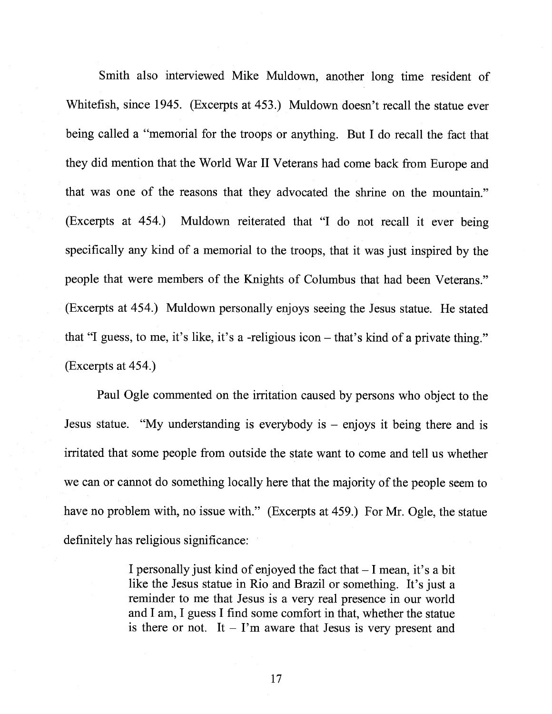Smith also interviewed Mike Muldown, another long time resident of Whitefish, since 1945. (Excerpts at 453.) Muldown doesn't recall the statue ever being called a "memorial for the troops or anything. But I do recall the fact that they did mention that the World War II Veterans had come back from Europe and that was one of the reasons that they advocated the shrine on the mountain." (Excerpts at 454.) Muldown reiterated that "I do not recall it ever being specifically any kind of a memorial to the troops, that it was just inspired by the people that were members of the Knights of Columbus that had been Veterans." (Excerpts at 454.) Muldown personally enjoys seeing the Jesus statue. He stated that "I guess, to me, it's like, it's a -religious icon — that's kind of a private thing." (Excerpts at 454.)

Paul Ogle commented on the irritation caused by persons who object to the Jesus statue. "My understanding is everybody is — enjoys it being there and is irritated that some people from outside the state want to come and tell us whether we can or cannot do something locally here that the majority of the people seem to have no problem with, no issue with." (Excerpts at 459.) For Mr. Ogle, the statue definitely has religious significance:

> <sup>I</sup> personally just kind of enjoyed the fact that — I mean, it's a bit like the Jesus statue in Rio and Brazil or something. It's just a reminder to me that Jesus is a very real presence in our world and I am, I guess I find some comfort in that, whether the statue is there or not. It  $-$  I'm aware that Jesus is very present and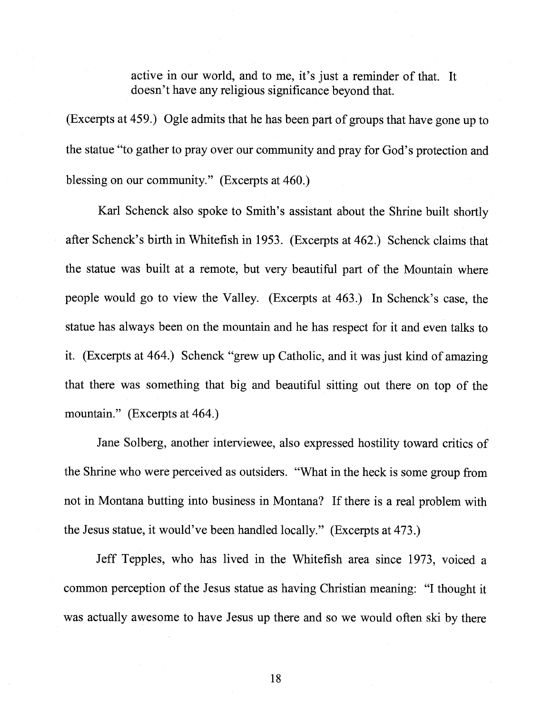active in our world, and to me, it's just a reminder of that. It doesn't have any religious significance beyond that.

(Excerpts at 459.) Ogle admits that he has been part of groups that have gone up to the statue "to gather to pray over our community and pray for God's protection and blessing on our community." (Excerpts at 460.)

Karl Schenck also spoke to Smith's assistant about the Shrine built shortly after Schenck's birth in Whitefish in 1953. (Excerpts at 462.) Schenck claims that the statue was built at a remote, but very beautiful part of the Mountain where people would go to view the Valley. (Excerpts at 463.) In Schenck's case, the statue has always been on the mountain and he has respect for it and even talks to it. (Excerpts at 464.) Schenck "grew up Catholic, and it was just kind of amazing that there was something that big and beautiful sitting out there on top of the mountain." (Excerpts at 464.)

Jane Solberg, another interviewee, also expressed hostility toward critics of the Shrine who were perceived as outsiders. "What in the heck is some group from not in Montana butting into business in Montana? If there is a real problem with the Jesus statue, it would've been handled locally." (Excerpts at 473.)

Jeff Tepples, who has lived in the Whitefish area since 1973, voiced a common perception of the Jesus statue as having Christian meaning: "I thought it was actually awesome to have Jesus up there and so we would often ski by there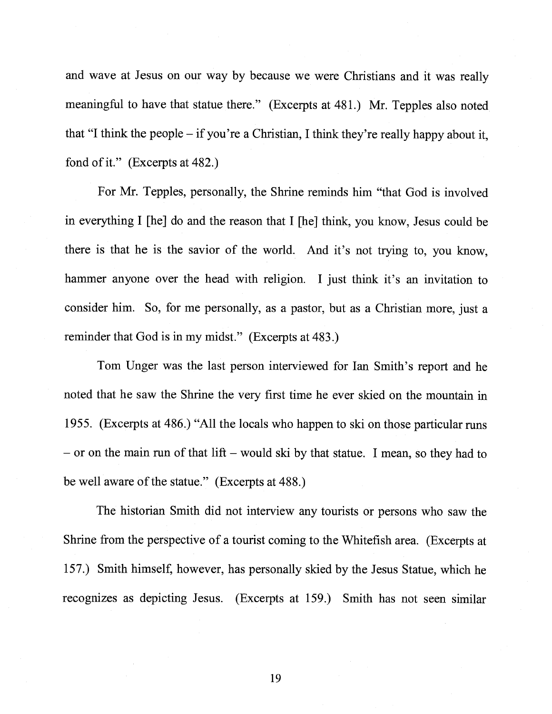and wave at Jesus on our way by because we were Christians and it was really meaningful to have that statue there." (Excerpts at 481.) Mr. Tepples also noted that "I think the people — if you're a Christian, I think they're really happy about it, fond of it." (Excerpts at 482.)

For Mr. Tepples, personally, the Shrine reminds him "that God is involved in everything I [he] do and the reason that I [he] think, you know, Jesus could be there is that he is the savior of the world. And it's not trying to, you know, hammer anyone over the head with religion. I just think it's an invitation to consider him. So, for me personally, as a pastor, but as a Christian more, just a reminder that God is in my midst." (Excerpts at 483.)

Tom Unger was the last person interviewed for Ian Smith's report and he noted that he saw the Shrine the very first time he ever skied on the mountain in 1955. (Excerpts at 486.) "All the locals who happen to ski on those particular runs  $-$  or on the main run of that lift  $-$  would ski by that statue. I mean, so they had to be well aware of the statue." (Excerpts at 488.)

The historian Smith did not interview any tourists or persons who saw the Shrine from the perspective of a tourist coming to the Whitefish area. (Excerpts at 157.) Smith himself, however, has personally skied by the Jesus Statue, which he recognizes as depicting Jesus. (Excerpts at 159.) Smith has not seen similar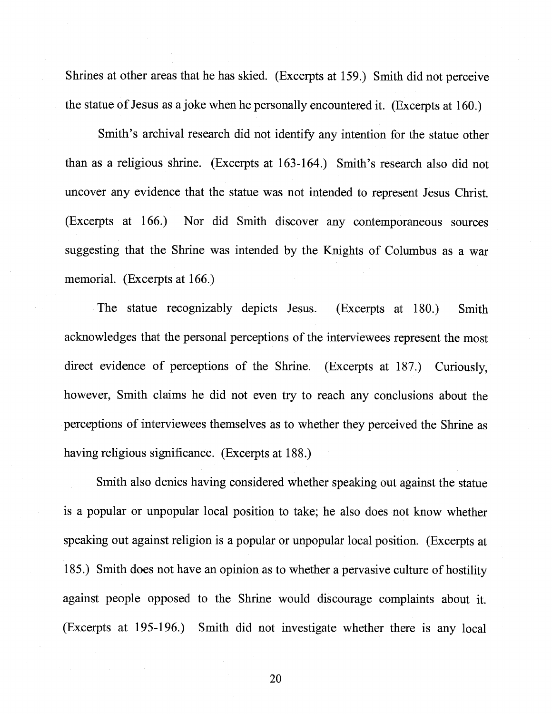Shrines at other areas that he has skied. (Excerpts at 159.) Smith did not perceive the statue of Jesus as a joke when he personally encountered it. (Excerpts at 160.)

Smith's archival research did not identify any intention for the statue other than as a religious shrine. (Excerpts at 163-164.) Smith's research also did not uncover any evidence that the statue was not intended to represent Jesus Christ. (Excerpts at 166.) Nor did Smith discover any contemporaneous sources suggesting that the Shrine was intended by the Knights of Columbus as a war memorial. (Excerpts at 166.)

The statue recognizably depicts Jesus. (Excerpts at 180.) Smith acknowledges that the personal perceptions of the interviewees represent the most direct evidence of perceptions of the Shrine. (Excerpts at 187.) Curiously, however, Smith claims he did not even try to reach any conclusions about the perceptions of interviewees themselves as to whether they perceived the Shrine as having religious significance. (Excerpts at 188.)

Smith also denies having considered whether speaking out against the statue is a popular or unpopular local position to take; he also does not know whether speaking out against religion is a popular or unpopular local position. (Excerpts at 185.) Smith does not have an opinion as to whether a pervasive culture of hostility against people opposed to the Shrine would discourage complaints about it. (Excerpts at 195-196.) Smith did not investigate whether there is any local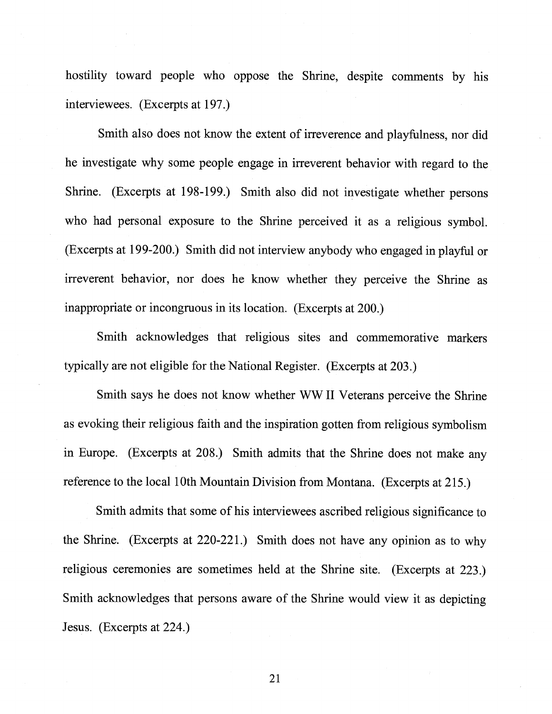hostility toward people who oppose the Shrine, despite comments by his interviewees. (Excerpts at 197.)

Smith also does not know the extent of irreverence and playfulness, nor did he investigate why some people engage in irreverent behavior with regard to the Shrine. (Excerpts at 198-199.) Smith also did not investigate whether persons who had personal exposure to the Shrine perceived it as a religious symbol. (Excerpts at 199-200.) Smith did not interview anybody who engaged in playful or irreverent behavior, nor does he know whether they perceive the Shrine as inappropriate or incongruous in its location. (Excerpts at 200.)

Smith acknowledges that religious sites and commemorative markers typically are not eligible for the National Register. (Excerpts at 203.)

Smith says he does not know whether WW II Veterans perceive the Shrine as evoking their religious faith and the inspiration gotten from religious symbolism in Europe. (Excerpts at 208.) Smith admits that the Shrine does not make any reference to the local 10th Mountain Division from Montana. (Excerpts at 215.)

Smith admits that some of his interviewees ascribed religious significance to the Shrine. (Excerpts at 220-221.) Smith does not have any opinion as to why religious ceremonies are sometimes held at the Shrine site. (Excerpts at 223.) Smith acknowledges that persons aware of the Shrine would view it as depicting Jesus. (Excerpts at 224.)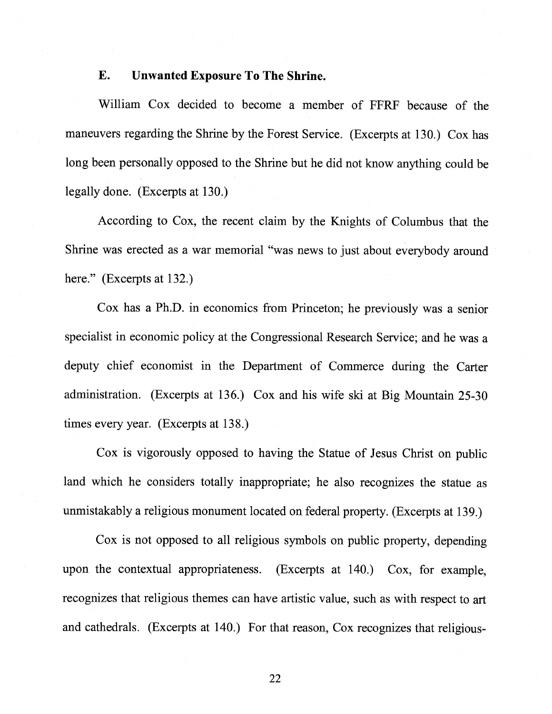## E. Unwanted Exposure To The Shrine.

William Cox decided to become a member of FFRF because of the maneuvers regarding the Shrine by the Forest Service. (Excerpts at 130.) Cox has long been personally opposed to the Shrine but he did not know anything could be legally done. (Excerpts at 130.)

According to Cox, the recent claim by the Knights of Columbus that the Shrine was erected as a war memorial "was news to just about everybody around here." (Excerpts at 132.)

Cox has a Ph.D. in economics from Princeton; he previously was a senior specialist in economic policy at the Congressional Research Service; and he was a deputy chief economist in the Department of Commerce during the Carter administration. (Excerpts at 136.) Cox and his wife ski at Big Mountain 25-30 times every year. (Excerpts at 138.)

Cox is vigorously opposed to having the Statue of Jesus Christ on public land which he considers totally inappropriate; he also recognizes the statue as unmistakably a religious monument located on federal property. (Excerpts at 139.)

Cox is not opposed to all religious symbols on public property, depending upon the contextual appropriateness. (Excerpts at 140.) Cox, for example, recognizes that religious themes can have artistic value, such as with respect to art and cathedrals. (Excerpts at 140.) For that reason, Cox recognizes that religious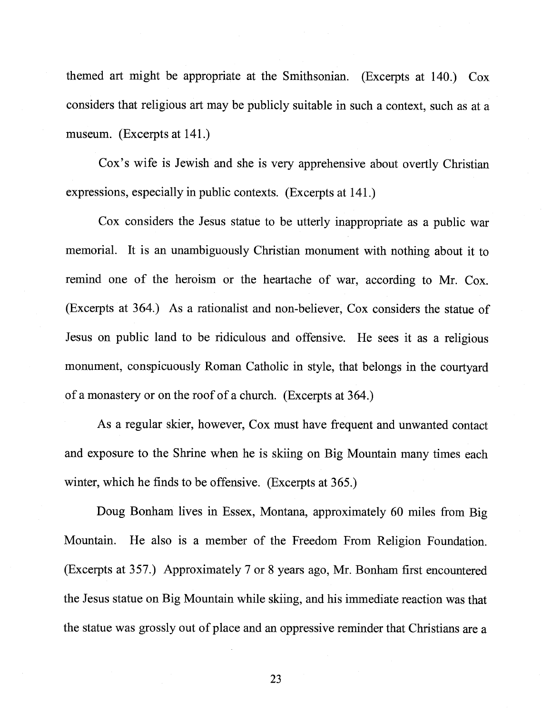themed art might be appropriate at the Smithsonian. (Excerpts at 140.) Cox considers that religious art may be publicly suitable in such a context, such as at a museum. (Excerpts at 141.)

Cox's wife is Jewish and she is very apprehensive about overtly Christian expressions, especially in public contexts. (Excerpts at 141.)

Cox considers the Jesus statue to be utterly inappropriate as a public war memorial. It is an unambiguously Christian monument with nothing about it to remind one of the heroism or the heartache of war, according to Mr. Cox. (Excerpts at 364.) As a rationalist and non-believer, Cox considers the statue of Jesus on public land to be ridiculous and offensive. He sees it as a religious monument, conspicuously Roman Catholic in style, that belongs in the courtyard of a monastery or on the roof of a church. (Excerpts at 364.)

As a regular skier, however, Cox must have frequent and unwanted contact and exposure to the Shrine when he is skiing on Big Mountain many times each winter, which he finds to be offensive. (Excerpts at 365.)

Doug Bonham lives in Essex, Montana, approximately 60 miles from Big Mountain. He also is a member of the Freedom From Religion Foundation. (Excerpts at 357.) Approximately 7 or <sup>8</sup> years ago, Mr. Bonham first encountered the Jesus statue on Big Mountain while skiing, and his immediate reaction was that the statue was grossly out of place and an oppressive reminder that Christians are a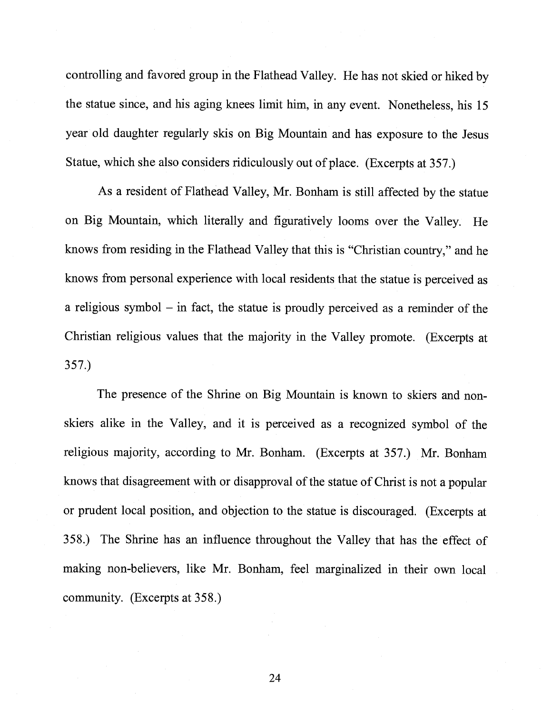controlling and favored group in the Flathead Valley. He has not skied or hiked by the statue since, and his aging knees limit him, in any event. Nonetheless, his <sup>15</sup> year old daughter regularly skis on Big Mountain and has exposure to the Jesus Statue, which she also considers ridiculously out of <sup>p</sup>lace. (Excerpts at 357.)

As <sup>a</sup> resident of Flathead Valley, Mr. Bonham is still affected by the statue on Big Mountain, which literally and figuratively looms over the Valley. He knows from residing in the Flathead Valley that this is "Christian country," and he knows from personal experience with local residents that the statue is perceived as <sup>a</sup> religious symbol — in fact, the statue is proudly perceived as <sup>a</sup> reminder of the Christian religious values that the majority in the Valley promote. (Excerpts at 357.)

The presence of the Shrine on Big Mountain is known to skiers and nonskiers alike in the Valley, and it is perceived as <sup>a</sup> recognized symbol of the religious majority, according to Mr. Bonham. (Excerpts at 357.) Mr. Bonham knows that disagreement with or disapproval of the statue of Christ is not a popular or prudent local position, and objection to the statue is discouraged. (Excerpts at 358.) The Shrine has an influence throughout the Valley that has the effect of making non-believers, like Mr. Bonham, feel marginalized in their own local community. (Excerpts at 358.)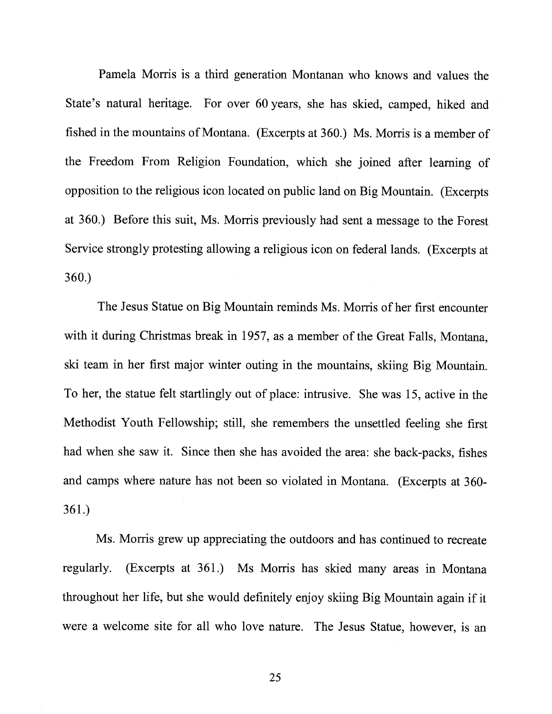Pamela Morris is a third generation Montanan who knows and values the State's natural heritage. For over 60 years, she has skied, camped, hiked and fished in the mountains of Montana. (Excerpts at 360.) Ms. Morris is a member of the Freedom From Religion Foundation, which she joined after learning of opposition to the religious icon located on public land on Big Mountain. (Excerpts at 360.) Before this suit, Ms. Morris previously had sent a message to the Forest Service strongly protesting allowing a religious icon on federal lands. (Excerpts at 360.)

The Jesus Statue on Big Mountain reminds Ms. Morris of her first encounter with it during Christmas break in 1957, as a member of the Great Falls, Montana, ski team in her first major winter outing in the mountains, skiing Big Mountain. To her, the statue felt startlingly out of place: intrusive. She was 15, active in the Methodist Youth Fellowship; still, she remembers the unsettled feeling she first had when she saw it. Since then she has avoided the area: she back-packs, fishes and camps where nature has not been so violated in Montana. (Excerpts at 360- 361.)

Ms. Morris grew up appreciating the outdoors and has continued to recreate regularly. (Excerpts at 361.) Ms Morris has skied many areas in Montana throughout her life, but she would definitely enjoy skiing Big Mountain again if it were a welcome site for all who love nature. The Jesus Statue, however, is an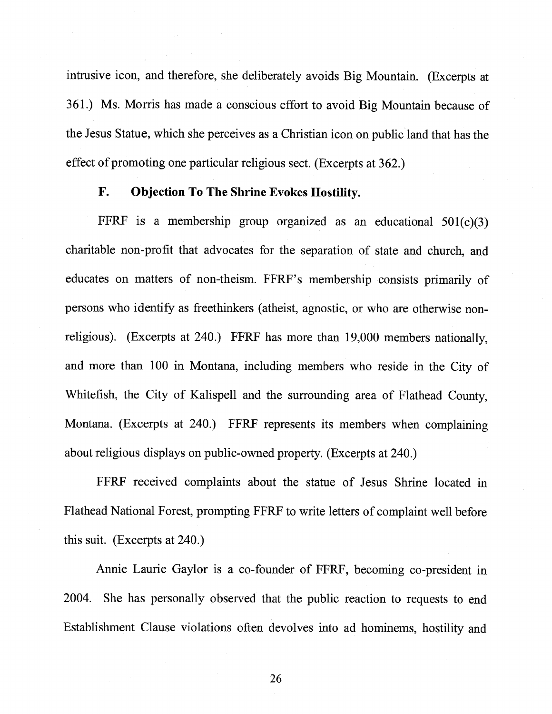intrusive icon, and therefore, she deliberately avoids Big Mountain. (Excerpts at 361.) Ms. Morris has made <sup>a</sup> conscious effort to avoid Big Mountain because of the Jesus Statue, which she perceives as <sup>a</sup> Christian icon on public land that has the effect of promoting one particular religious sect. (Excerpts at 362.)

# F. Objection To The Shrine Evokes Hostility.

FFRF is a membership group organized as an educational  $501(c)(3)$ charitable non-profit that advocates for the separation of state and church, and educates on matters of non-theism. FFRF's membership consists primarily of persons who identify as freethinkers (atheist, agnostic, or who are otherwise non religious). (Excerpts at 240.) FFRF has more than 19,000 members nationally, and more than <sup>100</sup> in Montana, including members who reside in the City of Whitefish, the City of Kalispell and the surrounding area of Flathead County, Montana. (Excerpts at 240.) FFRF represents its members when complaining about religious displays on public-owned property. (Excerpts at 240.)

FFRF received complaints about the statue of Jesus Shrine located in Flathead National Forest, prompting FFRF to write letters of complaint well before this suit. (Excerpts at 240.)

Annie Laurie Gaylor is <sup>a</sup> co-founder of FFRF, becoming co-president in 2004. She has personally observed that the public reaction to requests to end Establishment Clause violations often devolves into ad hominems, hostility and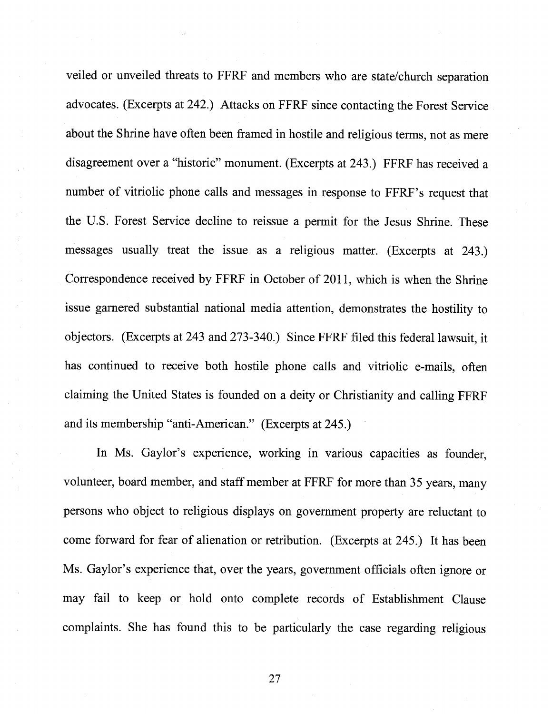veiled or unveiled threats to FFRF and members who are state/church separation advocates. (Excerpts at 242.) Attacks on FFRF since contacting the Forest Service about the Shrine have often been framed in hostile and religious terms, not as mere disagreement over a "historic" monument. (Excerpts at 243.) FFRF has received a number of vitriolic phone calls and messages in response to FFRF's request that the U.S. Forest Service decline to reissue a permit for the Jesus Shrine. These messages usually treat the issue as a religious matter. (Excerpts at 243.) Correspondence received by FFRF in October of 2011, which is when the Shrine issue garnered substantial national media attention, demonstrates the hostility to objectors. (Excerpts at 243 and 273-340.) Since FFRF filed this federal lawsuit, it has continued to receive both hostile phone calls and vitriolic e-mails, often claiming the United States is founded on a deity or Christianity and calling FFRF and its membership "anti-American." (Excerpts at 245.)

In Ms. Gaylor's experience, working in various capacities as founder, volunteer, board member, and staff member at FFRF for more than 35 years, many persons who object to religious displays on government property are reluctant to come forward for fear of alienation or retribution. (Excerpts at 245.) It has been Ms. Gaylor's experience that, over the years, government officials often ignore or may fail to keep or hold onto complete records of Establishment Clause complaints. She has found this to be particularly the case regarding religious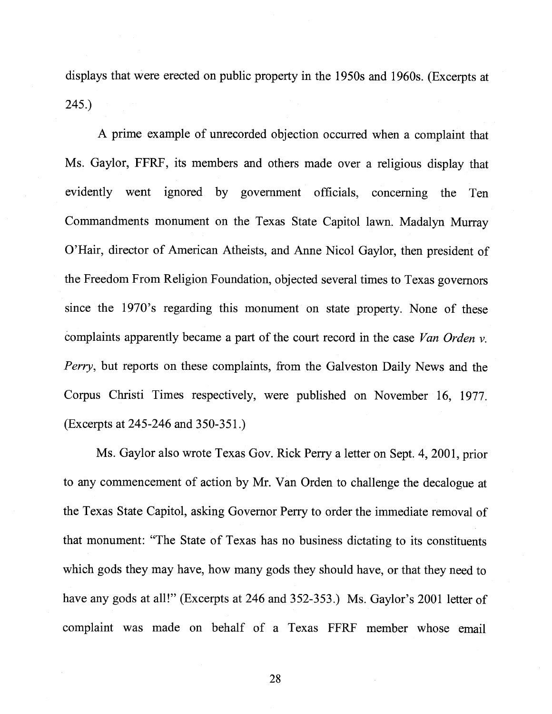displays that were erected on public property in the 1950s and 1960s. (Excerpts at 245.)

<sup>A</sup> prime example of unrecorded objection occurred when <sup>a</sup> complaint that Ms. Gaylor, FFRF, its members and others made over <sup>a</sup> religious display that evidently went ignored by government officials, concerning the Ten Commandments monument on the Texas State Capitol lawn. Madalyn Murray O'Hair, director of American Atheists, and Anne Nicol Gaylor, then president of the Freedom From Religion Foundation, objected several times to Texas governors since the 1970's regarding this monument on state property. None of these complaints apparently became a part of the court record in the case Van Orden v. Perry, but reports on these complaints, from the Galveston Daily News and the Corpus Christi Times respectively, were published on November 16, 1977. (Excerpts at 245-246 and 350-351.)

Ms. Gaylor also wrote Texas Gov. Rick Perry <sup>a</sup> letter on Sept. 4, 2001, prior to any commencement of action by Mr. Van Orden to challenge the decalogue at the Texas State Capitol, asking Governor Perry to order the immediate removal of that monument: "The State of Texas has no business dictating to its constituents which gods they may have, how many gods they should have, or that they need to have any gods at all!" (Excerpts at 246 and 352-353.) Ms. Gaylor's 2001 letter of complaint was made on behalf of <sup>a</sup> Texas FFRF member whose email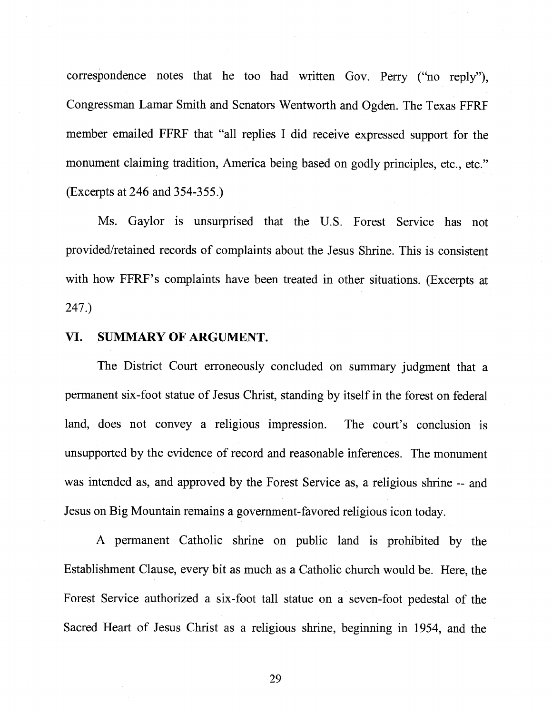correspondence notes that he too had written Gov. Perry ("no reply"), Congressman Lamar Smith and Senators Wentworth and Ogden. The Texas FFRF member emailed FFRF that "all replies I did receive expressed support for the monument claiming tradition, America being based on godly principles, etc., etc." (Excerpts at 246 and 354-355.)

Ms. Gaylor is unsurprised that the U.S. Forest Service has not provided/retained records of complaints about the Jesus Shrine. This is consistent with how FFRF's complaints have been treated in other situations. (Excerpts at 247.)

#### VI. SUMMARY OF ARGUMENT.

The District Court erroneously concluded on summary judgment that a permanent six-foot statue of Jesus Christ, standing by itself in the forest on federal land, does not convey a religious impression. The court's conclusion is unsupported by the evidence of record and reasonable inferences. The monument was intended as, and approved by the Forest Service as, a religious shrine -- and Jesus on Big Mountain remains a government-favored religious icon today.

A permanent Catholic shrine on public land is prohibited by the Establishment Clause, every bit as much as a Catholic church would be. Here, the Forest Service authorized a six-foot tall statue on a seven-foot pedestal of the Sacred Heart of Jesus Christ as a religious shrine, beginning in 1954, and the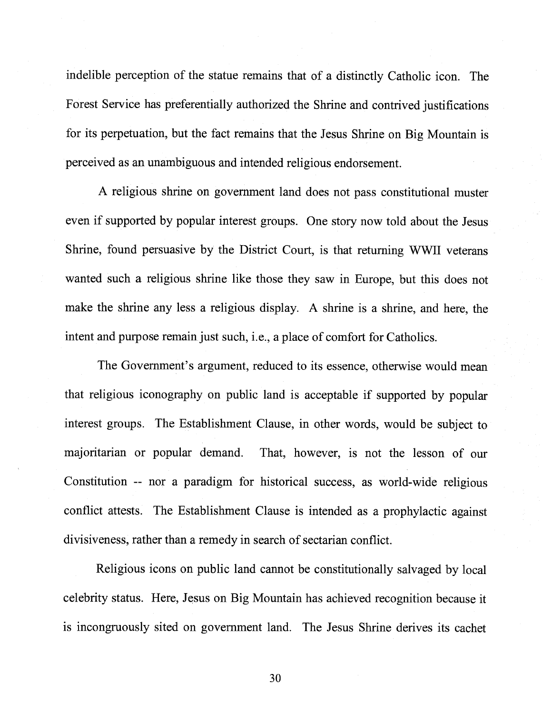indelible perception of the statue remains that of a distinctly Catholic icon. The Forest Service has preferentially authorized the Shrine and contrived justifications for its perpetuation, but the fact remains that the Jesus Shrine on Big Mountain is perceived as an unambiguous and intended religious endorsement.

A religious shrine on government land does not pass constitutional muster even if supported by popular interest groups. One story now told about the Jesus Shrine, found persuasive by the District Court, is that returning WWII veterans wanted such a religious shrine like those they saw in Europe, but this does not make the shrine any less a religious display. A shrine is a shrine, and here, the intent and purpose remain just such, i.e., a place of comfort for Catholics.

The Government's argument, reduced to its essence, otherwise would mean that religious iconography on public land is acceptable if supported by popular interest groups. The Establishment Clause, in other words, would be subject to majoritarian or popular demand. That, however, is not the lesson of our Constitution -- nor a paradigm for historical success, as world-wide religious conflict attests. The Establishment Clause is intended as a prophylactic against divisiveness, rather than a remedy in search of sectarian conflict.

Religious icons on public land cannot be constitutionally salvaged by local celebrity status. Here, Jesus on Big Mountain has achieved recognition because it is incongruously sited on government land. The Jesus Shrine derives its cachet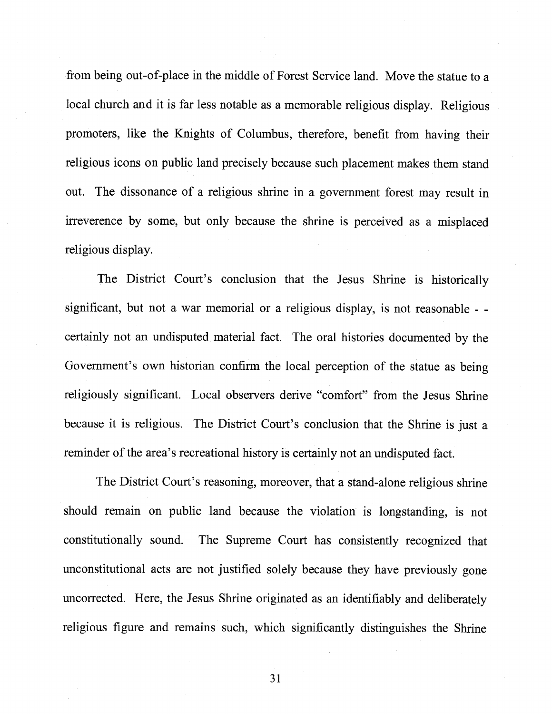from being out-of-place in the middle of Forest Service land. Move the statue to a local church and it is far less notable as a memorable religious display. Religious promoters, like the Knights of Columbus, therefore, benefit from having their religious icons on public land precisely because such placement makes them stand out. The dissonance of a religious shrine in a government forest may result in irreverence by some, but only because the shrine is perceived as a misplaced religious display.

The District Court's conclusion that the Jesus Shrine is historically significant, but not a war memorial or a religious display, is not reasonable - certainly not an undisputed material fact. The oral histories documented by the Government's own historian confirm the local perception of the statue as being religiously significant. Local observers derive "comfort" from the Jesus Shrine because it is religious. The District Court's conclusion that the Shrine is just a reminder of the area's recreational history is certainly not an undisputed fact.

The District Court's reasoning, moreover, that a stand-alone religious shrine should remain on public land because the violation is longstanding, is not constitutionally sound. The Supreme Court has consistently recognized that unconstitutional acts are not justified solely because they have previously gone uncorrected. Here, the Jesus Shrine originated as an identifiably and deliberately religious figure and remains such, which significantly distinguishes the Shrine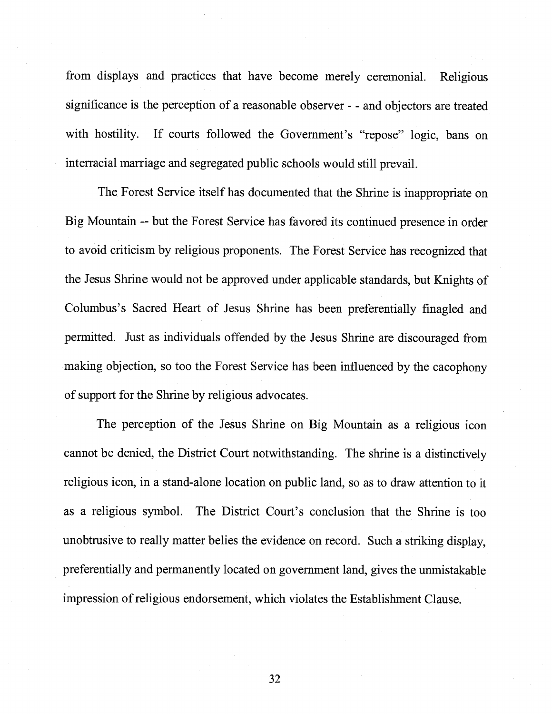from displays and practices that have become merely ceremonial. Religious significance is the perception of a reasonable observer - - and objectors are treated with hostility. If courts followed the Government's "repose" logic, bans on interracial marriage and segregated public schools would still prevail.

The Forest Service itself has documented that the Shrine is inappropriate on Big Mountain -- but the Forest Service has favored its continued presence in order to avoid criticism by religious proponents. The Forest Service has recognized that the Jesus Shrine would not be approved under applicable standards, but Knights of Columbus's Sacred Heart of Jesus Shrine has been preferentially finagled and permitted. Just as individuals offended by the Jesus Shrine are discouraged from making objection, so too the Forest Service has been influenced by the cacophony of support for the Shrine by religious advocates.

The perception of the Jesus Shrine on Big Mountain as a religious icon cannot be denied, the District Court notwithstanding. The shrine is a distinctively religious icon, in a stand-alone location on public land, so as to draw attention to it as a religious symbol. The District Court's conclusion that the Shrine is too unobtrusive to really matter belies the evidence on record. Such a striking display, preferentially and permanently located on government land, gives the unmistakable impression ofreligious endorsement, which violates the Establishment Clause.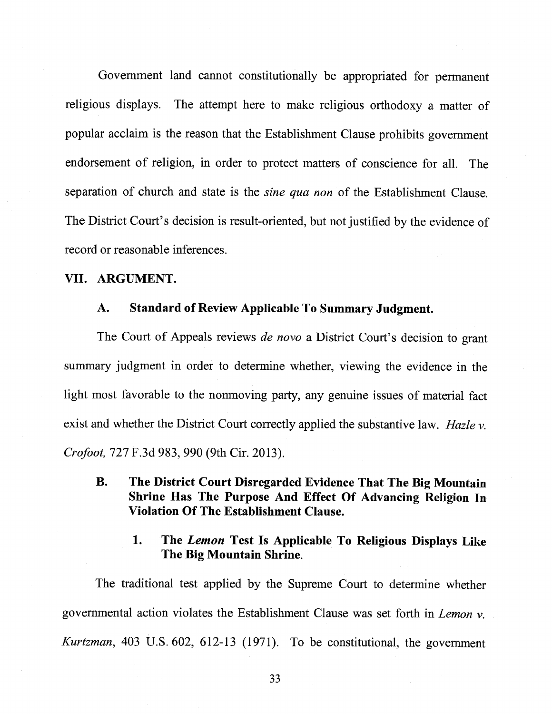Government land cannot constitutionally be appropriated for permanent religious displays. The attempt here to make religious orthodoxy a matter of popular acclaim is the reason that the Establishment Clause prohibits government endorsement of religion, in order to protect matters of conscience for all. The separation of church and state is the *sine qua non* of the Establishment Clause. The District Court's decision is result-oriented, but not justified by the evidence of record or reasonable inferences.

# VII. ARGUMENT.

#### A. Standard of Review Applicable To Summary Judgment.

The Court of Appeals reviews *de novo* a District Court's decision to grant summary judgment in order to determine whether, viewing the evidence in the light most favorable to the nonmoving party, any genuine issues of material fact exist and whether the District Court correctly applied the substantive law. Hazle  $\nu$ . Crofoot, 727 F.3d 983, 990 (9th Cir. 2013).

B. The District Court Disregarded Evidence That The Big Mountain Shrine Has The Purpose And Effect Of Advancing Religion In Violation Of The Establishment Clause.

# 1. The Lemon Test Is Applicable To Religious Displays Like The Big Mountain Shrine.

The traditional test applied by the Supreme Court to determine whether governmental action violates the Establishment Clause was set forth in Lemon v. Kurtzman, 403 U.S. 602, 612-13 (1971). To be constitutional, the government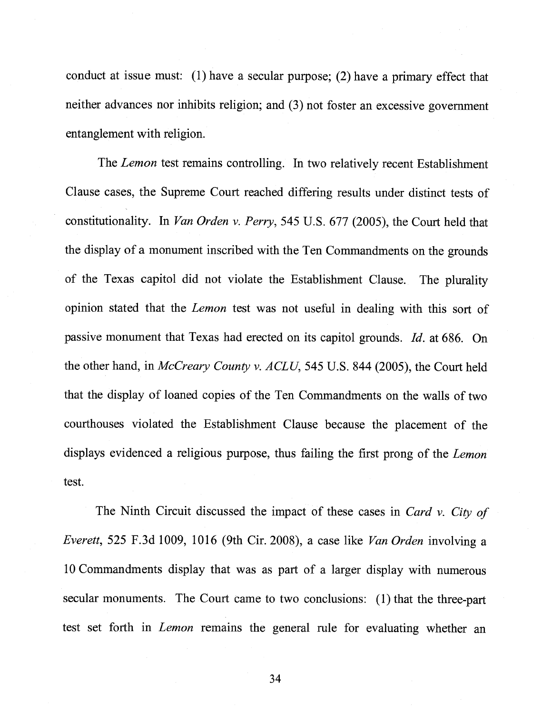conduct at issue must: (1) have a secular purpose; (2) have a primary effect that neither advances nor inhibits religion; and (3) not foster an excessive government entanglement with religion.

The Lemon test remains controlling. In two relatively recent Establishment Clause cases, the Supreme Court reached differing results under distinct tests of constitutionality. In Van Orden v. Perry, 545 U.S. 677 (2005), the Court held that the display of a monument inscribed with the Ten Commandments on the grounds of the Texas capitol did not violate the Establishment Clause. The plurality opinion stated that the Lemon test was not useful in dealing with this sort of passive monument that Texas had erected on its capitol grounds. Id. at 686. On the other hand, in McCreary County v. ACLU, 545 U.S. 844 (2005), the Court held that the display of loaned copies of the Ten Commandments on the walls of two courthouses violated the Establishment Clause because the placement of the displays evidenced a religious purpose, thus failing the first prong of the Lemon test.

The Ninth Circuit discussed the impact of these cases in Card v. City of Everett, 525 F.3d 1009, 1016 (9th Cir. 2008), a case like Van Orden involving a 10 Commandments display that was as part of a larger display with numerous secular monuments. The Court came to two conclusions: (1) that the three-part test set forth in Lemon remains the general rule for evaluating whether an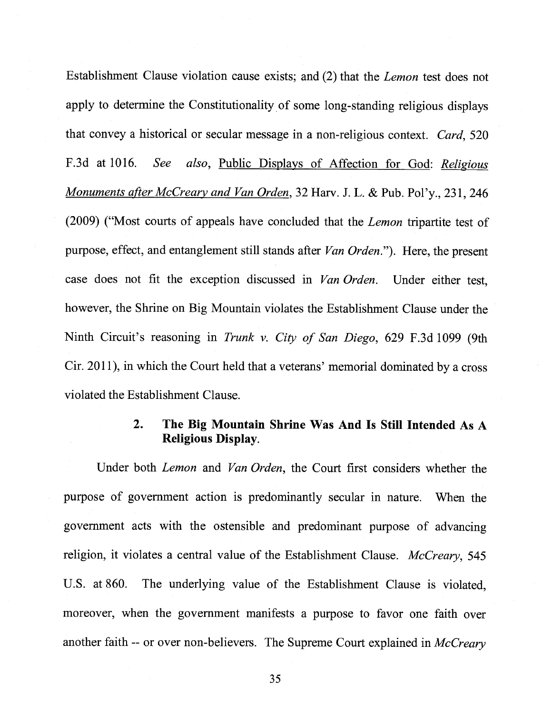Establishment Clause violation cause exists; and (2) that the Lemon test does not apply to determine the Constitutionality of some long-standing religious displays that convey <sup>a</sup> historical or secular message in <sup>a</sup> non-religious context. Card, <sup>520</sup> F.3d at 1016. See also, Public Displays of Affection for God: Religious Monuments after McCreary and Van Orden, 32 Harv. J. L. & Pub. Pol'y., 231, 246 (2009) ("Most courts of appeals have concluded that the Lemon tripartite test of purpose, effect, and entanglement still stands after Van Orden."). Here, the present case does not fit the exception discussed in *Van Orden*. Under either test, however, the Shrine on Big Mountain violates the Establishment Clause under the Ninth Circuit's reasoning in Trunk v. City of San Diego, 629 F.3d 1099 (9th Cir. 2011), in which the Court held that <sup>a</sup> veterans' memorial dominated by <sup>a</sup> cross violated the Establishment Clause.

# 2. The Big Mountain Shrine Was And Is Still Intended As A Religious Display.

Under both Lemon and Van Orden, the Court first considers whether the purpose of government action is predominantly secular in nature. When the government acts with the ostensible and predominant purpose of advancing religion, it violates a central value of the Establishment Clause. McCreary, 545 U.S. at 860. The underlying value of the Establishment Clause is violated, moreover, when the government manifests <sup>a</sup> purpose to favor one faith over another faith -- or over non-believers. The Supreme Court explained in McCreary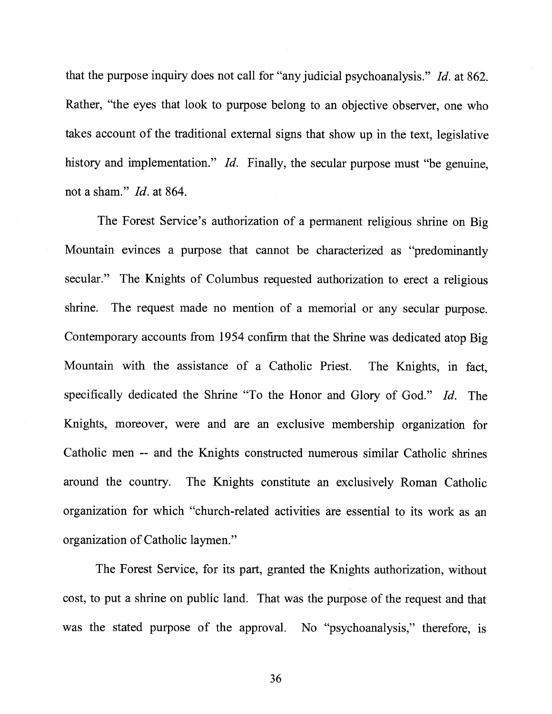that the purpose inquiry does not call for "any judicial psychoanalysis." Id. at 862. Rather, "the eyes that look to purpose belong to an objective observer, one who takes account of the traditional external signs that show up in the text, legislative history and implementation." *Id.* Finally, the secular purpose must "be genuine, not a sham." *Id.* at 864.

The Forest Service's authorization of a permanent religious shrine on Big Mountain evinces a purpose that cannot be characterized as "predominantly secular." The Knights of Columbus requested authorization to erect a religious shrine. The request made no mention of a memorial or any secular purpose. Contemporary accounts from 1954 confirm that the Shrine was dedicated atop Big Mountain with the assistance of a Catholic Priest. The Knights, in fact, specifically dedicated the Shrine "To the Honor and Glory of God." Id. The Knights, moreover, were and are an exclusive membership organization for Catholic men -- and the Knights constructed numerous similar Catholic shrines around the country. The Knights constitute an exclusively Roman Catholic organization for which "church-related activities are essential to its work as an organization of Catholic laymen."

The Forest Service, for its part, granted the Knights authorization, without cost, to put a shrine on public land. That was the purpose of the request and that was the stated purpose of the approval. No "psychoanalysis," therefore, is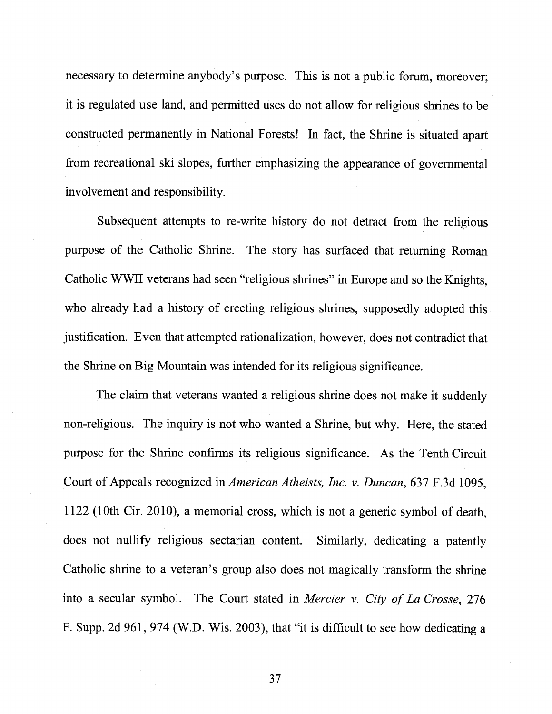necessary to determine anybody's purpose. This is not a public forum, moreover; it is regulated use land, and permitted uses do not allow for religious shrines to be constructed permanently in National Forests! In fact, the Shrine is situated apart from recreational ski slopes, further emphasizing the appearance of governmental involvement and responsibility.

Subsequent attempts to re-write history do not detract from the religious purpose of the Catholic Shrine. The story has surfaced that returning Roman Catholic WWII veterans had seen "religious shrines" in Europe and so the Knights, who already had a history of erecting religious shrines, supposedly adopted this justification. Even that attempted rationalization, however, does not contradict that the Shrine on Big Mountain was intended for its religious significance.

The claim that veterans wanted a religious shrine does not make it suddenly non-religious. The inquiry is not who wanted a Shrine, but why. Here, the stated purpose for the Shrine confirms its religious significance. As the Tenth Circuit Court of Appeals recognized in American Atheists, Inc. v. Duncan, 637 F.3d 1095, 1122 (10th Cir. 2010), a memorial cross, which is not a generic symbol of death, does not nullify religious sectarian content. Similarly, dedicating a patently Catholic shrine to a veteran's group also does not magically transform the shrine into a secular symbol. The Court stated in *Mercier v. City of La Crosse*, 276 F. Supp. 2d 961, 974 (W.D. Wis. 2003), that "it is difficult to see how dedicating a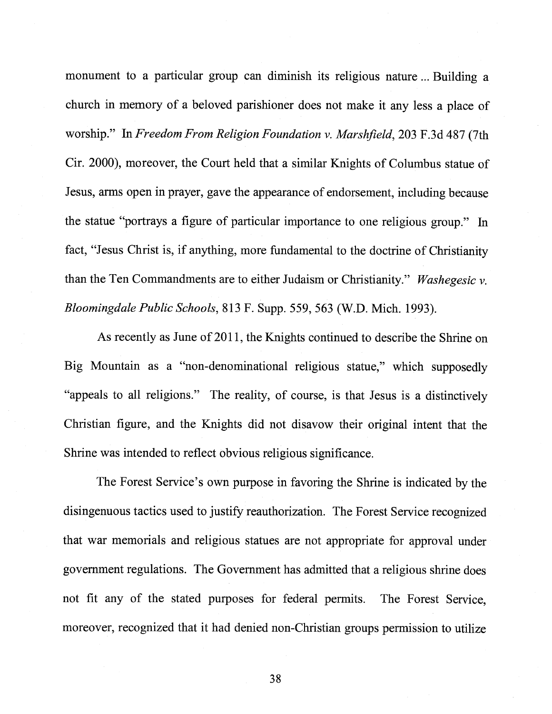monument to a particular group can diminish its religious nature ...Building a church in memory of a beloved parishioner does not make it any less a place of worship." In Freedom From Religion Foundation v. Marshfield, 203 F.3d 487 (7th Cir. 2000), moreover, the Court held that a similar Knights of Columbus statue of Jesus, arms open in prayer, gave the appearance of endorsement, including because the statue "portrays a figure of particular importance to one religious group." In fact, "Jesus Christ is, if anything, more fundamental to the doctrine of Christianity than the Ten Commandments are to either Judaism or Christianity." Washegesic  $v$ . Bloomingdale Public Schools, 813 F. Supp. 559, 563 (W.D. Mich. 1993).

As recently as June of 2011, the Knights continued to describe the Shrine on Big Mountain as a "non-denominational religious statue," which supposedly "appeals to all religions." The reality, of course, is that Jesus is a distinctively Christian figure, and the Knights did not disavow their original intent that the Shrine was intended to reflect obvious religious significance.

The Forest Service's own purpose in favoring the Shrine is indicated by the disingenuous tactics used to justify reauthorization. The Forest Service recognized that war memorials and religious statues are not appropriate for approval under government regulations. The Government has admitted that a religious shrine does not fit any of the stated purposes for federal permits. The Forest Service, moreover, recognized that it had denied non-Christian groups permission to utilize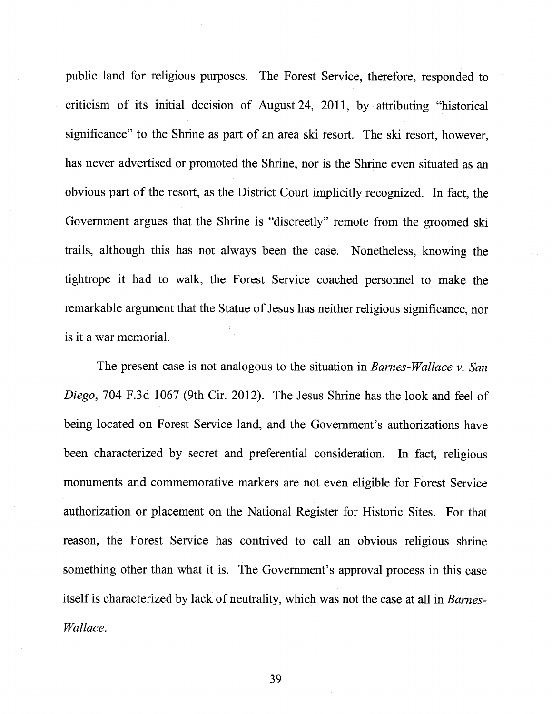public land for religious purposes. The Forest Service, therefore, responded to criticism of its initial decision of August 24, 2011, by attributing "historical significance" to the Shrine as part of an area ski resort. The ski resort, however, has never advertised or promoted the Shrine, nor is the Shrine even situated as an obvious part of the resort, as the District Court implicitly recognized. In fact, the Government argues that the Shrine is "discreetly" remote from the groomed ski trails, although this has not always been the case. Nonetheless, knowing the tightrope it had to walk, the Forest Service coached personnel to make the remarkable argument that the Statue of Jesus has neither religious significance, nor is it a war memorial.

The present case is not analogous to the situation in *Barnes-Wallace v. San* Diego, 704 F.3d 1067 (9th Cir. 2012). The Jesus Shrine has the look and feel of being located on Forest Service land, and the Government's authorizations have been characterized by secret and preferential consideration. In fact, religious monuments and commemorative markers are not even eligible for Forest Service authorization or placement on the National Register for Historic Sites. For that reason, the Forest Service has contrived to call an obvious religious shrine something other than what it is. The Government's approval process in this case itself is characterized by lack of neutrality, which was not the case at all in Barnes-Wallace.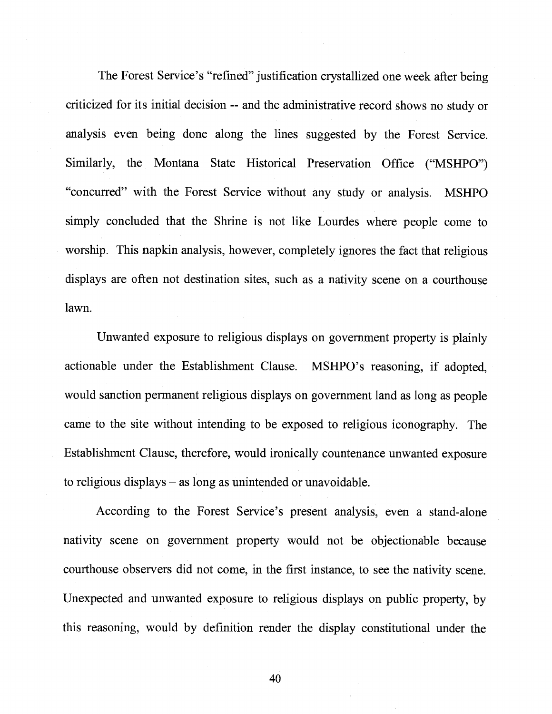The Forest Service's "refined" justification crystallized one week after being criticized for its initial decision -- and the administrative record shows no study or analysis even being done along the lines suggested by the Forest Service. Similarly, the Montana State Historical Preservation Office ("MSHPO") "concurred" with the Forest Service without any study or analysis. MSHPO simply concluded that the Shrine is not like Lourdes where people come to worship. This napkin analysis, however, completely ignores the fact that religious displays are often not destination sites, such as a nativity scene on a courthouse lawn.

Unwanted exposure to religious displays on government property is plainly actionable under the Establishment Clause. MSHPO's reasoning, if adopted, would sanction permanent religious displays on government land as long as people came to the site without intending to be exposed to religious iconography. The Establishment Clause, therefore, would ironically countenance unwanted exposure to religious displays — as long as unintended or unavoidable.

According to the Forest Service's present analysis, even a stand-alone nativity scene on government property would not be objectionable because courthouse observers did not come, in the first instance, to see the nativity scene. Unexpected and unwanted exposure to religious displays on public property, by this reasoning, would by definition render the display constitutional under the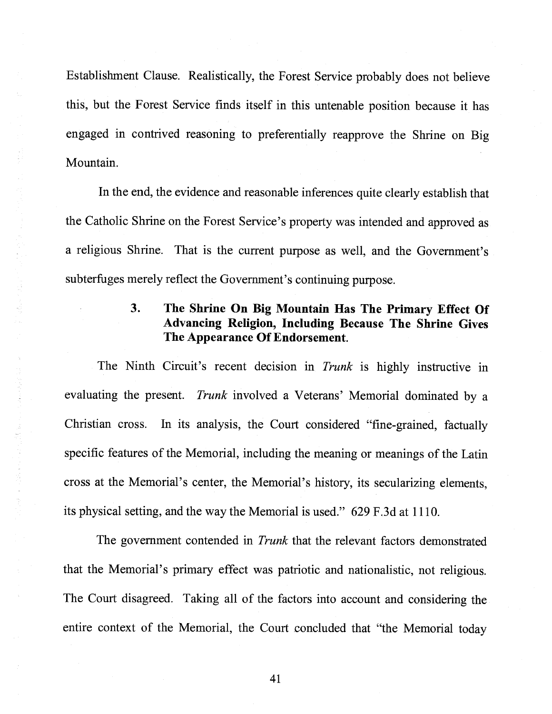Establishment Clause. Realistically, the Forest Service probably does not believe this, but the Forest Service finds itself in this untenable position because it has engaged in contrived reasoning to preferentially reapprove the Shrine on Big Mountain.

In the end, the evidence and reasonable inferences quite clearly establish that the Catholic Shrine on the Forest Service's property was intended and approved as <sup>a</sup> religious Shrine. That is the current purpose as well, and the Government's subterfuges merely reflect the Government's continuing purpose.

# 3. The Shrine On Big Mountain Has The Primary Effect Of Advancing Religion, Including Because The Shrine Gives The Appearance Of Endorsement.

The Ninth Circuit's recent decision in *Trunk* is highly instructive in evaluating the present. Trunk involved <sup>a</sup> Veterans' Memorial dominated by <sup>a</sup> Christian cross. In its analysis, the Court considered "fine-grained, factually specific features of the Memorial, including the meaning or meanings of the Latin cross at the Memorial's center, the Memorial's history, its secularizing elements, its physical setting, and the way the Memorial is used." 629 F.3d at 1110.

The government contended in Trunk that the relevant factors demonstrated that the Memorial's primary effect was patriotic and nationalistic, not religious. The Court disagreed. Taking all of the factors into account and considering the entire context of the Memorial, the Court concluded that "the Memorial today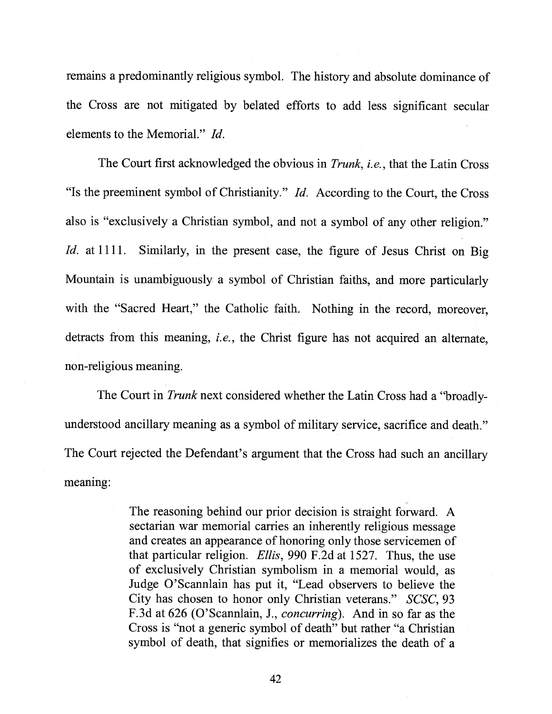remains a predominantly religious symbol. The history and absolute dominance of the Cross are not mitigated by belated efforts to add less significant secular elements to the Memorial." Id.

The Court first acknowledged the obvious in Trunk, i.e., that the Latin Cross "Is the preeminent symbol of Christianity."  $Id$ . According to the Court, the Cross also is "exclusively a Christian symbol, and not a symbol of any other religion." Id. at 1111. Similarly, in the present case, the figure of Jesus Christ on Big Mountain is unambiguously a symbol of Christian faiths, and more particularly with the "Sacred Heart," the Catholic faith. Nothing in the record, moreover, detracts from this meaning, *i.e.*, the Christ figure has not acquired an alternate, non-religious meaning.

The Court in Trunk next considered whether the Latin Cross had a "broadlyunderstood ancillary meaning as a symbol of military service, sacrifice and death." The Court rejected the Defendant's argument that the Cross had such an ancillary meaning:

> The reasoning behind our prior decision is straight forward. A sectarian war memorial carries an inherently religious message and creates an appearance of honoring only those servicemen of that particular religion. Ellis, 990 F.2d at 1527. Thus, the use of exclusively Christian symbolism in a memorial would, as Judge O'Scannlain has put it, "Lead observers to believe the City has chosen to honor only Christian veterans." SCSC, 93 F.3d at 626 (O'Scannlain, J., concurring). And in so far as the Cross is "not a generic symbol of death" but rather "a Christian symbol of death, that signifies or memorializes the death of a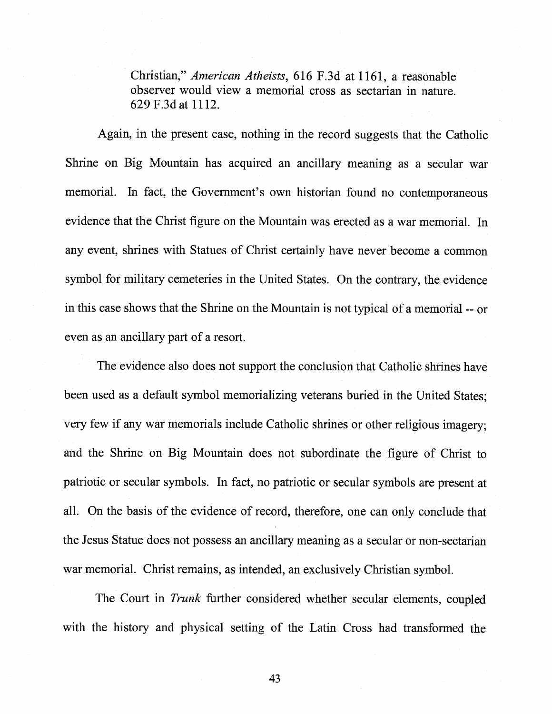Christian," American Atheists, 616 F.3d at 1161, <sup>a</sup> reasonable observer would view <sup>a</sup> memorial cross as sectarian in nature. 629 F.3dat 1112.

Again, in the present case, nothing in the record suggests that the Catholic Shrine on Big Mountain has acquired an ancillary meaning as <sup>a</sup> secular war memorial. In fact, the Government's own historian found no contemporaneous evidence that the Christ figure on the Mountain was erected as <sup>a</sup> war memorial. In any event, shrines with Statues of Christ certainly have never become <sup>a</sup> common symbol for military cemeteries in the United States. On the contrary, the evidence in this case shows that the Shrine on the Mountain is not typical of <sup>a</sup> memorial -- or even as an ancillary part of <sup>a</sup> resort.

The evidence also does not support the conclusion that Catholic shrines have been used as <sup>a</sup> default symbol memorializing veterans buried in the United States; very few if any war memorials include Catholic shrines or other religious imagery; and the Shrine on Big Mountain does not subordinate the figure of Christ to patriotic or secular symbols. In fact, no patriotic or secular symbols are present at all. On the basis of the evidence of record, therefore, one can only conclude that the Jesus Statue does not possess an ancillary meaning as <sup>a</sup> secular or non-sectarian war memorial. Christ remains, as intended, an exclusively Christian symbol.

The Court in Trunk further considered whether secular elements, coupled with the history and physical setting of the Latin Cross had transformed the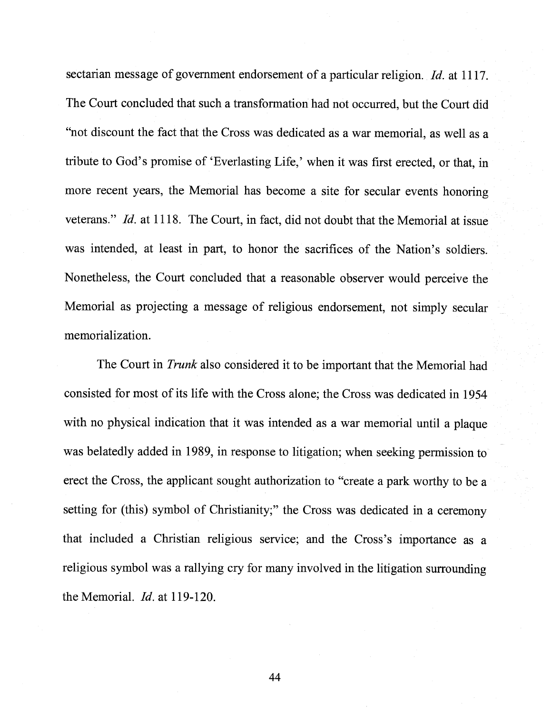sectarian message of government endorsement of a particular religion. Id. at 1117. The Court concluded that such <sup>a</sup> transformation had not occurred, but the Court did "not discount the fact that the Cross was dedicated as <sup>a</sup> war memorial, as well as <sup>a</sup> tribute to God's promise of 'Everlasting Life,' when it was first erected, or that, in more recent years, the Memorial has become <sup>a</sup> site for secular events honoring veterans." Id. at 1118. The Court, in fact, did not doubt that the Memorial at issue was intended, at least in part, to honor the sacrifices of the Nation's soldiers. Nonetheless, the Court concluded that <sup>a</sup> reasonable observer would perceive the Memorial as projecting <sup>a</sup> message of religious endorsement, not simply secular memorialization.

The Court in Trunk also considered it to be important that the Memorial had consisted for most of its life with the Cross alone; the Cross was dedicated in 1954 with no physical indication that it was intended as a war memorial until a plaque was belatedly added in 1989, in response to litigation; when seeking permission to erect the Cross, the applicant sought authorization to "create <sup>a</sup> par<sup>k</sup> worthy to be <sup>a</sup> setting for (this) symbol of Christianity;" the Cross was dedicated in a ceremony that included <sup>a</sup> Christian religious service; and the Cross's importance as <sup>a</sup> religious symbol was <sup>a</sup> rallying cry for many involved in the litigation surrounding the Memorial. Id. at 119-120.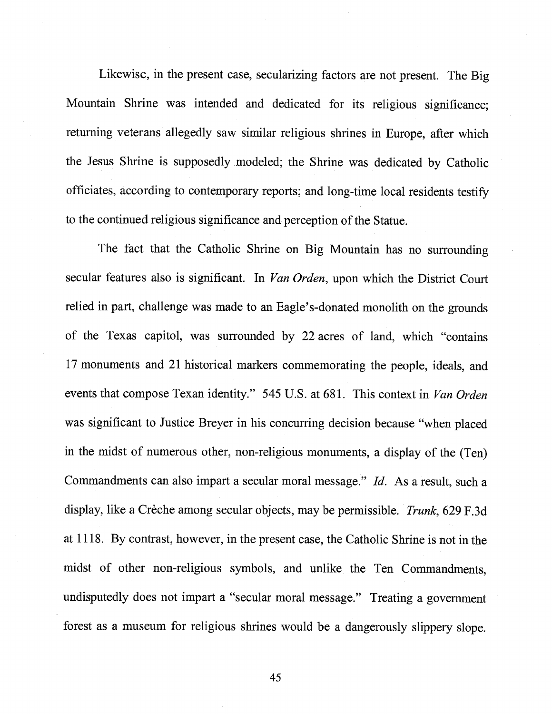Likewise, in the present case, secularizing factors are not present. The Big Mountain Shrine was intended and dedicated for its religious significance; returning veterans allegedly saw similar religious shrines in Europe, after which the Jesus Shrine is supposedly modeled; the Shrine was dedicated by Catholic officiates, according to contemporary reports; and long-time local residents testify to the continued religious significance and perception of the Statue.

The fact that the Catholic Shrine on Big Mountain has no surrounding secular features also is significant. In *Van Orden*, upon which the District Court relied in part, challenge was made to an Eagle's-donated monolith on the grounds of the Texas capitol, was surrounded by <sup>22</sup> acres of land, which "contains <sup>17</sup> monuments and <sup>21</sup> historical markers commemorating the people, ideals, and events that compose Texan identity." 545 U.S. at 681. This context in Van Orden was significant to Justice Breyer in his concurring decision because "when <sup>p</sup>laced in the midst of numerous other, non-religious monuments, <sup>a</sup> display of the (Ten) Commandments can also impart <sup>a</sup> secular moral message." Id. As <sup>a</sup> result, such <sup>a</sup> display, like <sup>a</sup> Crèche among secular objects, may be permissible. Trunk, 629 F.3d at 1118. By contrast, however, in the present case, the Catholic Shrine is not in the midst of other non-religious symbols, and unlike the Ten Commandments, undisputedly does not impart <sup>a</sup> "secular moral message." Treating <sup>a</sup> government forest as <sup>a</sup> museum for religious shrines would be <sup>a</sup> dangerously slippery slope.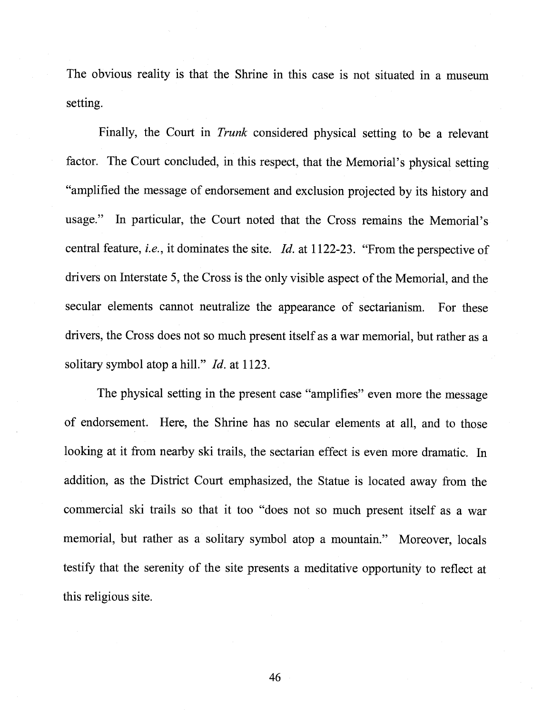The obvious reality is that the Shrine in this case is not situated in <sup>a</sup> museum setting.

Finally, the Court in Trunk considered <sup>p</sup>hysical setting to be <sup>a</sup> relevant factor. The Court concluded, in this respect, that the Memorial's <sup>p</sup>hysical setting "amplified the message of endorsement and exclusion projected by its history and usage." In particular, the Court noted that the Cross remains the Memorial's central feature, i.e., it dominates the site. Id. at 1122-23. "From the perspective of drivers on Interstate 5, the Cross is the only visible aspect ofthe Memorial, and the secular elements cannot neutralize the appearance of sectarianism. For these drivers, the Cross does not so much present itself as <sup>a</sup> war memorial, but rather as <sup>a</sup> solitary symbol atop a hill." *Id.* at 1123.

The <sup>p</sup>hysical setting in the present case "amplifies" even more the message of endorsement. Here, the Shrine has no secular elements at all, and to those looking at it from nearby ski trails, the sectarian effect is even more dramatic. In addition, as the District Court emphasized, the Statue is located away from the commercial ski trails so that it too "does not so much present itself as <sup>a</sup> war memorial, but rather as <sup>a</sup> solitary symbol atop <sup>a</sup> mountain." Moreover, locals testify that the serenity of the site presents <sup>a</sup> meditative opportunity to reflect at this religious site.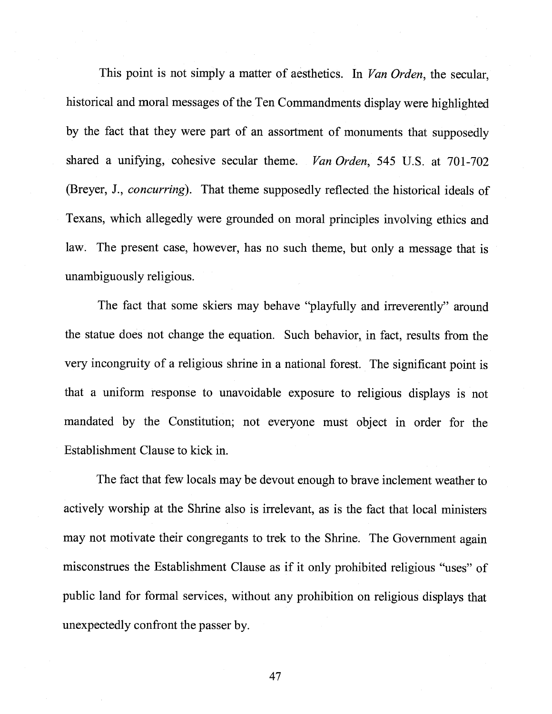This point is not simply a matter of aesthetics. In Van Orden, the secular, historical and moral messages of the Ten Commandments display were highlighted by the fact that they were part of an assortment of monuments that supposedly shared a unifying, cohesive secular theme. *Van Orden*, 545 U.S. at 701-702 (Breyer, J., concurring). That theme supposedly reflected the historical ideals of Texans, which allegedly were grounded on moral principles involving ethics and law. The present case, however, has no such theme, but only a message that is unambiguously religious.

The fact that some skiers may behave "playfully and irreverently" around the statue does not change the equation. Such behavior, in fact, results from the very incongruity of a religious shrine in a national forest. The significant point is that a uniform response to unavoidable exposure to religious displays is not mandated by the Constitution; not everyone must object in order for the Establishment Clause to kick in.

The fact that few locals may be devout enough to brave inclement weather to actively worship at the Shrine also is irrelevant, as is the fact that local ministers may not motivate their congregants to trek to the Shrine. The Government again misconstrues the Establishment Clause as if it only prohibited religious "uses" of public land for formal services, without any prohibition on religious displays that unexpectedly confront the passer by.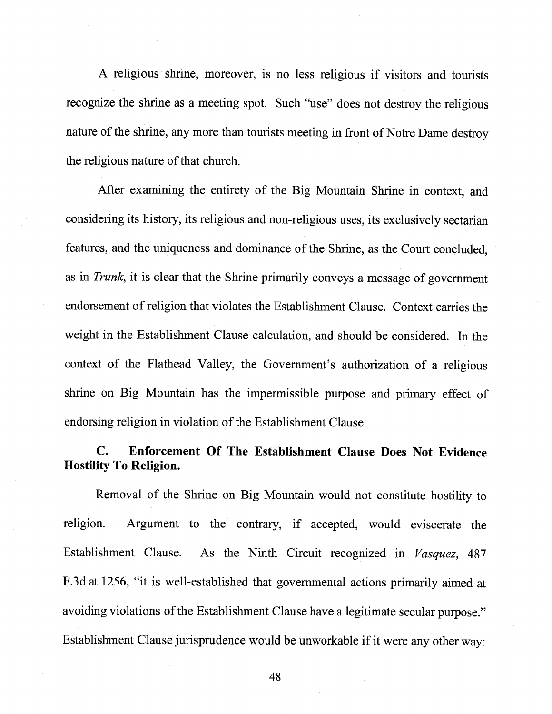A religious shrine, moreover, is no less religious if visitors and tourists recognize the shrine as a meeting spot. Such "use" does not destroy the religious nature of the shrine, any more than tourists meeting in front of Notre Dame destroy the religious nature of that church.

After examining the entirety of the Big Mountain Shrine in context, and considering its history, its religious and non-religious uses, its exclusively sectarian features, and the uniqueness and dominance of the Shrine, as the Court concluded, as in Trunk, it is clear that the Shrine primarily conveys a message of government endorsement of religion that violates the Establishment Clause. Context carries the weight in the Establishment Clause calculation, and should be considered. In the context of the Flathead Valley, the Government's authorization of a religious shrine on Big Mountain has the impermissible purpose and primary effect of endorsing religion in violation of the Establishment Clause.

# C. Enforcement Of The Establishment Clause Does Not Evidence Hostility To Religion.

Removal of the Shrine on Big Mountain would not constitute hostility to religion. Argument to the contrary, if accepted, would eviscerate the Establishment Clause. As the Ninth Circuit recognized in Vasquez, 487 F.3d at 1256, "it is well-established that governmental actions primarily aimed at avoiding violations of the Establishment Clause have a legitimate secular purpose." Establishment Clause jurisprudence would be unworkable if it were any other way: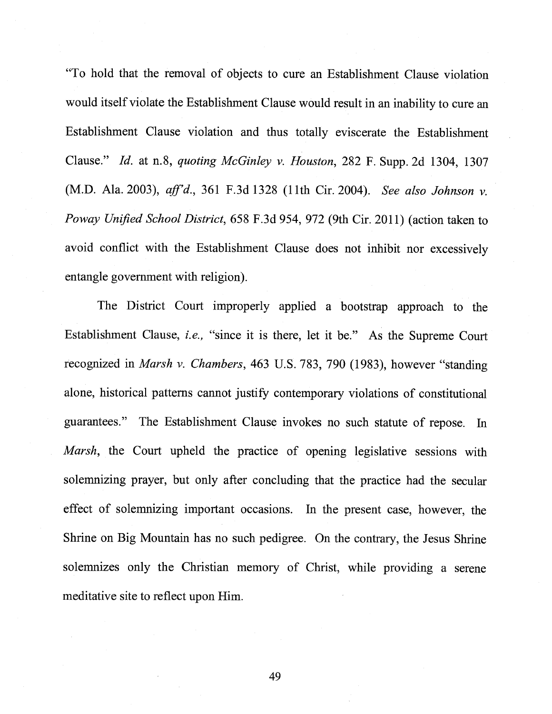"To hold that the removal of objects to cure an Establishment Clause violation would itself violate the Establishment Clause would result in an inability to cure an Establishment Clause violation and thus totally eviscerate the Establishment Clause." Id. at n.8, quoting McGinley v. Houston, <sup>282</sup> F. Supp. 2d 1304, <sup>1307</sup> (M.D. Ala. 2003), aff'd., 361 F.3d 1328 (11th Cir. 2004). See also Johnson v. Poway Unified School District, 658 F.3d 954, 972 (9th Cir. 2011) (action taken to avoid conflict with the Establishment Clause does not inhibit nor excessively entangle government with religion).

The District Court improperly applied <sup>a</sup> bootstrap approach to the Establishment Clause, i.e., "since it is there, let it be." As the Supreme Court recognized in Marsh v. Chambers, <sup>463</sup> U.S. 783, <sup>790</sup> (1983), however "standing alone, historical patterns cannot justify contemporary violations of constitutional guarantees." The Establishment Clause invokes no such statute of repose. In Marsh, the Court upheld the practice of opening legislative sessions with solemnizing prayer, but only after concluding that the practice had the secular effect of solemnizing important occasions. In the present case, however, the Shrine on Big Mountain has no such pedigree. On the contrary, the Jesus Shrine solemnizes only the Christian memory of Christ, while providing <sup>a</sup> serene meditative site to reflect upon Him.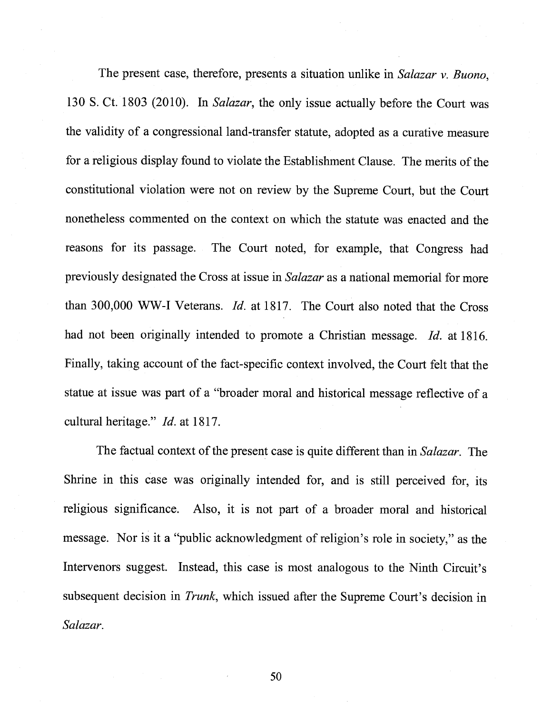The present case, therefore, presents a situation unlike in Salazar v. Buono, 130 S. Ct. 1803 (2010). In Salazar, the only issue actually before the Court was the validity of a congressional land-transfer statute, adopted as a curative measure for a religious display found to violate the Establishment Clause. The merits of the constitutional violation were not on review by the Supreme Court, but the Court nonetheless commented on the context on which the statute was enacted and the reasons for its passage. The Court noted, for example, that Congress had previously designated the Cross at issue in Salazar as a national memorial for more than 300,000 WW-I Veterans. Id. at 1817. The Court also noted that the Cross had not been originally intended to promote a Christian message. Id. at 1816. Finally, taking account of the fact-specific context involved, the Court felt that the statue at issue was part of a "broader moral and historical message reflective of a cultural heritage." Id. at 1817.

The factual context of the present case is quite different than in Salazar. The Shrine in this case was originally intended for, and is still perceived for, its religious significance. Also, it is not part of a broader moral and historical message. Nor is it a "public acknowledgment of religion's role in society," as the Intervenors suggest. Instead, this case is most analogous to the Ninth Circuit's subsequent decision in *Trunk*, which issued after the Supreme Court's decision in Salazar.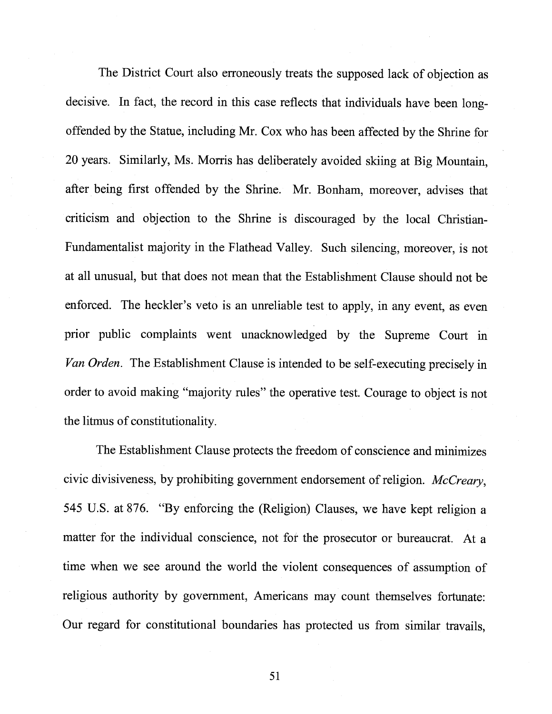The District Court also erroneously treats the supposed lack of objection as decisive. In fact, the record in this case reflects that individuals have been longoffended by the Statue, including Mr. Cox who has been affected by the Shrine for <sup>20</sup> years. Similarly, Ms. Morris has deliberately avoided skiing at Big Mountain, after being first offended by the Shrine. Mr. Bonham, moreover, advises that criticism and objection to the Shrine is discouraged by the local Christian-Fundamentalist majority in the Flathead Valley. Such silencing, moreover, is not at all unusual, but that does not mean that the Establishment Clause should not be enforced. The heckler's veto is an unreliable test to apply, in any event, as even prior public complaints went unacknowledged by the Supreme Court in Van Orden. The Establishment Clause is intended to be self-executing precisely in order to avoid making "majority rules" the operative test. Courage to object is not the litmus of constitutionality.

The Establishment Clause protects the freedom of conscience and minimizes civic divisiveness, by prohibiting government endorsement of religion. McCreary, <sup>545</sup> U.S. at 876. "By enforcing the (Religion) Clauses, we have kept religion <sup>a</sup> matter for the individual conscience, not for the prosecutor or bureaucrat. At <sup>a</sup> time when we see around the world the violent consequences of assumption of religious authority by government, Americans may count themselves fortunate: Our regard for constitutional boundaries has protected us from similar travails,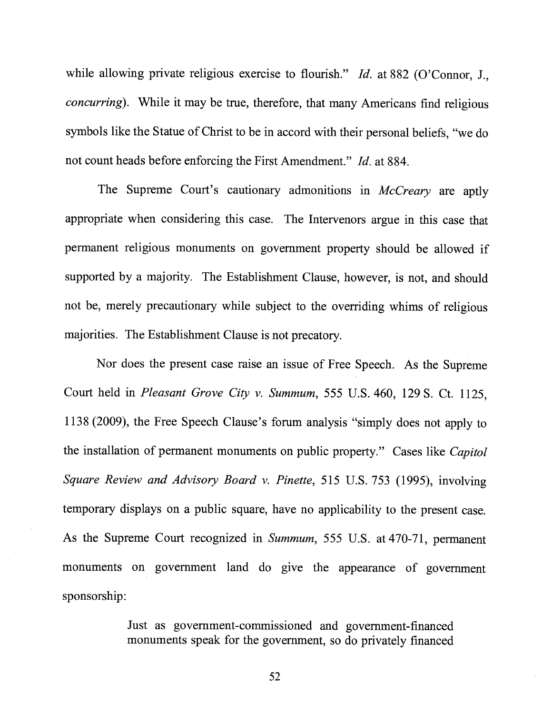while allowing private religious exercise to flourish." Id. at 882 (O'Connor, J., concurring). While it may be true, therefore, that many Americans find religious symbols like the Statue of Christ to be in accord with their personal beliefs, "we do not count heads before enforcing the First Amendment." *Id.* at 884.

The Supreme Court's cautionary admonitions in McCreary are aptly appropriate when considering this case. The Intervenors argue in this case that permanent religious monuments on government property should be allowed if supported by <sup>a</sup> majority. The Establishment Clause, however, is not, and should not be, merely precautionary while subject to the overriding whims of religious majorities. The Establishment Clause is not precatory.

Nor does the present case raise an issue of Free Speech. As the Supreme Court held in Pleasant Grove City v. Summum, 555 U.S. 460, 129 S. Ct. 1125, <sup>1138</sup> (2009), the Free Speech Clause's forum analysis "simply does not apply to the installation of permanent monuments on public property." Cases like *Capitol* Square Review and Advisory Board v. Pinette, 515 U.S. 753 (1995), involving temporary displays on <sup>a</sup> public square, have no applicability to the present case. As the Supreme Court recognized in Summum, 555 U.S. at 470-71, permanent monuments on government land do <sup>g</sup>ive the appearance of government sponsorship:

> Just as government-commissioned and government-financed monuments speak for the government, so do privately financed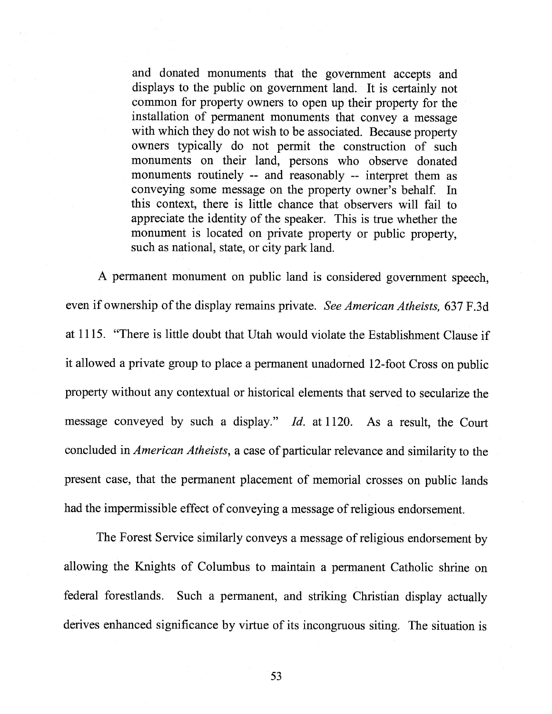and donated monuments that the government accepts and displays to the public on government land. It is certainly not common for property owners to open up their property for the installation of permanent monuments that convey <sup>a</sup> message with which they do not wish to be associated. Because property owners typically do not permit the construction of such monuments on their land, persons who observe donated monuments routinely -- and reasonably -- interpret them as conveying some message on the property owner's behalf. In this context, there is little chance that observers will fail to appreciate the identity of the speaker. This is true whether the monument is located on private property or public property, such as national, state, or city park land.

<sup>A</sup> permanent monument on public land is considered government speech, even if ownership of the display remains private. See American Atheists, 637 F.3d at 1115. "There is little doubt that Utah would violate the Establishment Clause if it allowed <sup>a</sup> private group to <sup>p</sup>lace <sup>a</sup> permanent unadorned 12-foot Cross on public property without any contextual or historical elements that served to secularize the message conveyed by such <sup>a</sup> display." Id. at 1120. As <sup>a</sup> result, the Court concluded in American Atheists, <sup>a</sup> case of particular relevance and similarity to the present case, that the permanent <sup>p</sup>lacement of memorial crosses on public lands had the impermissible effect of conveying a message of religious endorsement.

The Forest Service similarly conveys a message of religious endorsement by allowing the Knights of Columbus to maintain <sup>a</sup> permanent Catholic shrine on federal forestlands. Such <sup>a</sup> permanent, and striking Christian display actually derives enhanced significance by virtue of its incongruous siting. The situation is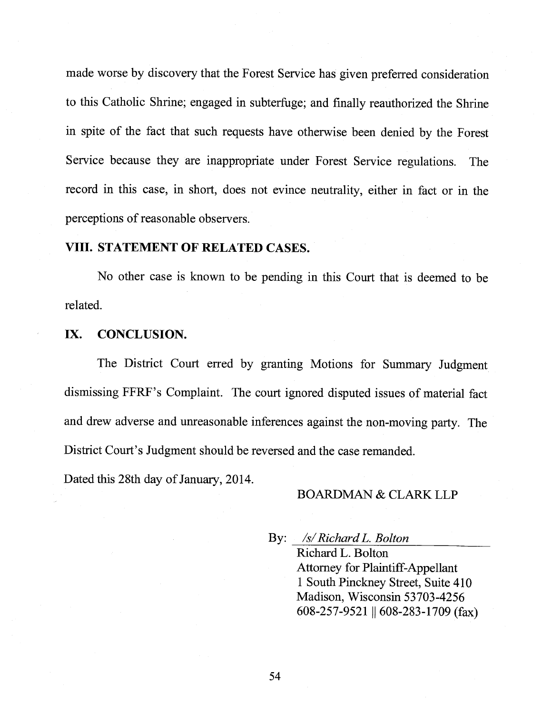made worse by discovery that the Forest Service has <sup>g</sup>iven preferred consideration to this Catholic Shrine; engaged in subterfuge; and finally reauthorized the Shrine in spite of the fact that such requests have otherwise been denied by the Forest Service because they are inappropriate under Forest Service regulations. The record in this case, in short, does not evince neutrality, either in fact or in the perceptions of reasonable observers.

### VIII. STATEMENT OF RELATED CASES.

No other case is known to be pending in this Court that is deemed to be related.

#### IX. CONCLUSION.

The District Court erred by granting Motions for Summary Judgment dismissing FFRF's Complaint. The court ignored disputed issues of material fact and drew adverse and unreasonable inferences against the non-moving party. The District Court's Judgment should be reversed and the case remanded.

Dated this 28th day of January, 2014.

#### BOARDMAN & CLARK LLP

By: /s/RichardL. Bolton

Richard L. Bolton Attorney for Plaintiff-Appellant 1 South Pinckney Street, Suite 410 Madison, Wisconsin 53703-4256 608-257-9521 || 608-283-1709 (fax)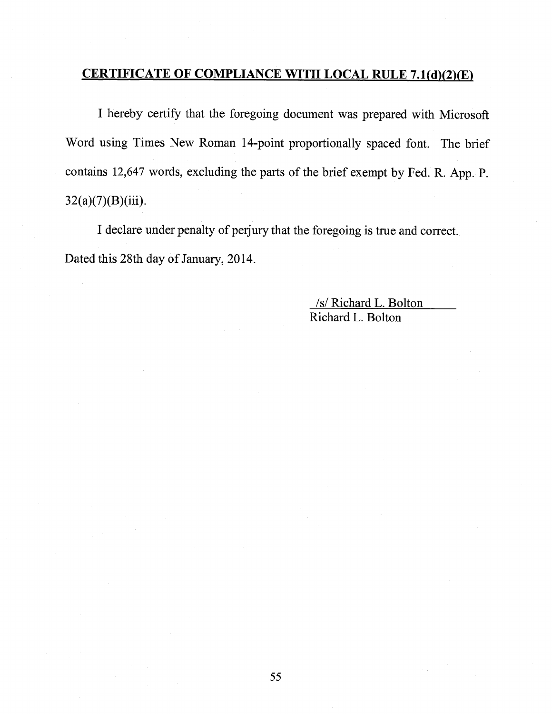# CERTIFICATE OF COMPLIANCE WITH LOCAL RULE 7.1(d)(2)(E)

<sup>I</sup> hereby certify that the foregoing document was prepared with Microsoft Word using Times New Roman 14-point proportionally spaced font. The brief contains 12,647 words, excluding the parts of the brief exempt by Fed. R. App. P.  $32(a)(7)(B)(iii)$ .

<sup>I</sup> declare under penalty of perjury that the foregoing is true and correct. Dated this 28th day of January, 2014.

> /s/ Richard L. Bolton Richard L. Bolton